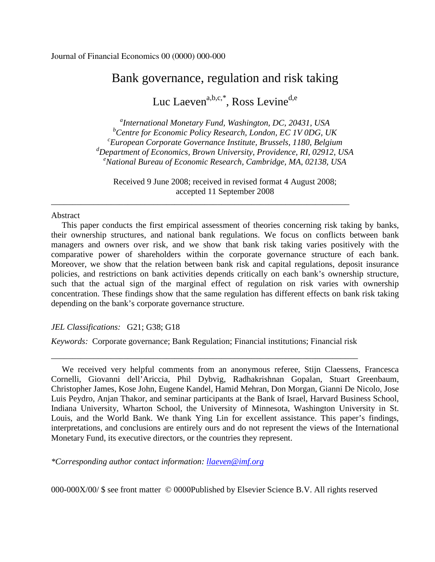# Bank governance, regulation and risk taking

Luc Laeven<sup>a,b,c,\*</sup>, Ross Levine<sup>d,e</sup>

*a International Monetary Fund, Washington, DC, 20431, USA b Centre for Economic Policy Research, London, EC 1V 0DG, UK <sup>c</sup> European Corporate Governance Institute, Brussels, 1180, Belgium d Department of Economics, Brown University, Providence, RI, 02912, USA e National Bureau of Economic Research, Cambridge, MA, 02138, USA*

Received 9 June 2008; received in revised format 4 August 2008; accepted 11 September 2008

\_\_\_\_\_\_\_\_\_\_\_\_\_\_\_\_\_\_\_\_\_\_\_\_\_\_\_\_\_\_\_\_\_\_\_\_\_\_\_\_\_\_\_\_\_\_\_\_\_\_\_\_\_\_\_\_\_\_\_\_\_\_\_\_\_\_\_\_\_\_

## Abstract

 This paper conducts the first empirical assessment of theories concerning risk taking by banks, their ownership structures, and national bank regulations. We focus on conflicts between bank managers and owners over risk, and we show that bank risk taking varies positively with the comparative power of shareholders within the corporate governance structure of each bank. Moreover, we show that the relation between bank risk and capital regulations, deposit insurance policies, and restrictions on bank activities depends critically on each bank's ownership structure, such that the actual sign of the marginal effect of regulation on risk varies with ownership concentration. These findings show that the same regulation has different effects on bank risk taking depending on the bank's corporate governance structure.

## *JEL Classifications:* G21; G38; G18

*Keywords:* Corporate governance; Bank Regulation; Financial institutions; Financial risk \_\_\_\_\_\_\_\_\_\_\_\_\_\_\_\_\_\_\_\_\_\_\_\_\_\_\_\_\_\_\_\_\_\_\_\_\_\_\_\_\_\_\_\_\_\_\_\_\_\_\_\_\_\_\_\_\_\_\_\_\_\_\_\_\_\_\_\_\_\_\_\_

 We received very helpful comments from an anonymous referee, Stijn Claessens, Francesca Cornelli, Giovanni dell'Ariccia, Phil Dybvig, Radhakrishnan Gopalan, Stuart Greenbaum, Christopher James, Kose John, Eugene Kandel, Hamid Mehran, Don Morgan, Gianni De Nicolo, Jose Luis Peydro, Anjan Thakor, and seminar participants at the Bank of Israel, Harvard Business School, Indiana University, Wharton School, the University of Minnesota, Washington University in St. Louis, and the World Bank. We thank Ying Lin for excellent assistance. This paper's findings, interpretations, and conclusions are entirely ours and do not represent the views of the International Monetary Fund, its executive directors, or the countries they represent.

*\*Corresponding author contact information: [llaeven@imf.org](mailto:llaeven@imf.org)*

000-000X/00/ \$ see front matter © 0000Published by Elsevier Science B.V. All rights reserved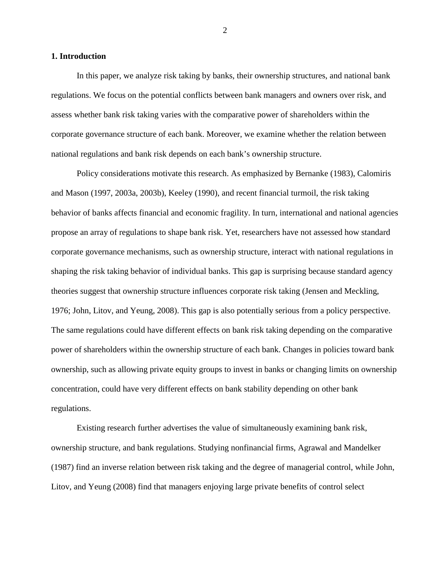#### **1. Introduction**

In this paper, we analyze risk taking by banks, their ownership structures, and national bank regulations. We focus on the potential conflicts between bank managers and owners over risk, and assess whether bank risk taking varies with the comparative power of shareholders within the corporate governance structure of each bank. Moreover, we examine whether the relation between national regulations and bank risk depends on each bank's ownership structure.

Policy considerations motivate this research. As emphasized by Bernanke (1983), Calomiris and Mason (1997, 2003a, 2003b), Keeley (1990), and recent financial turmoil, the risk taking behavior of banks affects financial and economic fragility. In turn, international and national agencies propose an array of regulations to shape bank risk. Yet, researchers have not assessed how standard corporate governance mechanisms, such as ownership structure, interact with national regulations in shaping the risk taking behavior of individual banks. This gap is surprising because standard agency theories suggest that ownership structure influences corporate risk taking (Jensen and Meckling, 1976; John, Litov, and Yeung, 2008). This gap is also potentially serious from a policy perspective. The same regulations could have different effects on bank risk taking depending on the comparative power of shareholders within the ownership structure of each bank. Changes in policies toward bank ownership, such as allowing private equity groups to invest in banks or changing limits on ownership concentration, could have very different effects on bank stability depending on other bank regulations.

Existing research further advertises the value of simultaneously examining bank risk, ownership structure, and bank regulations. Studying nonfinancial firms, Agrawal and Mandelker (1987) find an inverse relation between risk taking and the degree of managerial control, while John, Litov, and Yeung (2008) find that managers enjoying large private benefits of control select

 $\mathcal{L}$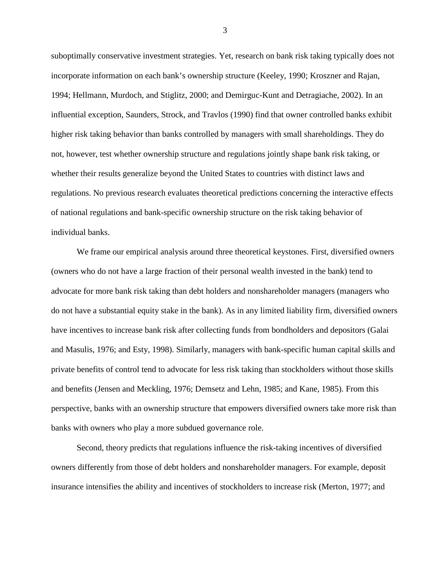suboptimally conservative investment strategies. Yet, research on bank risk taking typically does not incorporate information on each bank's ownership structure (Keeley, 1990; Kroszner and Rajan, 1994; Hellmann, Murdoch, and Stiglitz, 2000; and Demirguc-Kunt and Detragiache, 2002). In an influential exception, Saunders, Strock, and Travlos (1990) find that owner controlled banks exhibit higher risk taking behavior than banks controlled by managers with small shareholdings. They do not, however, test whether ownership structure and regulations jointly shape bank risk taking, or whether their results generalize beyond the United States to countries with distinct laws and regulations. No previous research evaluates theoretical predictions concerning the interactive effects of national regulations and bank-specific ownership structure on the risk taking behavior of individual banks.

We frame our empirical analysis around three theoretical keystones. First, diversified owners (owners who do not have a large fraction of their personal wealth invested in the bank) tend to advocate for more bank risk taking than debt holders and nonshareholder managers (managers who do not have a substantial equity stake in the bank). As in any limited liability firm, diversified owners have incentives to increase bank risk after collecting funds from bondholders and depositors (Galai and Masulis, 1976; and Esty, 1998). Similarly, managers with bank-specific human capital skills and private benefits of control tend to advocate for less risk taking than stockholders without those skills and benefits (Jensen and Meckling, 1976; Demsetz and Lehn, 1985; and Kane, 1985). From this perspective, banks with an ownership structure that empowers diversified owners take more risk than banks with owners who play a more subdued governance role.

Second, theory predicts that regulations influence the risk-taking incentives of diversified owners differently from those of debt holders and nonshareholder managers. For example, deposit insurance intensifies the ability and incentives of stockholders to increase risk (Merton, 1977; and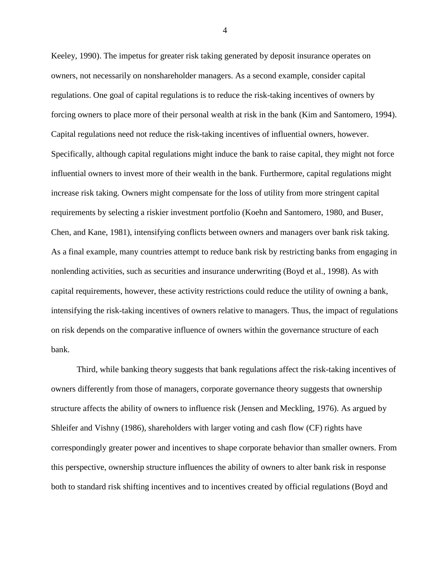Keeley, 1990). The impetus for greater risk taking generated by deposit insurance operates on owners, not necessarily on nonshareholder managers. As a second example, consider capital regulations. One goal of capital regulations is to reduce the risk-taking incentives of owners by forcing owners to place more of their personal wealth at risk in the bank (Kim and Santomero, 1994). Capital regulations need not reduce the risk-taking incentives of influential owners, however. Specifically, although capital regulations might induce the bank to raise capital, they might not force influential owners to invest more of their wealth in the bank. Furthermore, capital regulations might increase risk taking. Owners might compensate for the loss of utility from more stringent capital requirements by selecting a riskier investment portfolio (Koehn and Santomero, 1980, and Buser, Chen, and Kane, 1981), intensifying conflicts between owners and managers over bank risk taking. As a final example, many countries attempt to reduce bank risk by restricting banks from engaging in nonlending activities, such as securities and insurance underwriting (Boyd et al., 1998). As with capital requirements, however, these activity restrictions could reduce the utility of owning a bank, intensifying the risk-taking incentives of owners relative to managers. Thus, the impact of regulations on risk depends on the comparative influence of owners within the governance structure of each bank.

Third, while banking theory suggests that bank regulations affect the risk-taking incentives of owners differently from those of managers, corporate governance theory suggests that ownership structure affects the ability of owners to influence risk (Jensen and Meckling, 1976). As argued by Shleifer and Vishny (1986), shareholders with larger voting and cash flow (CF) rights have correspondingly greater power and incentives to shape corporate behavior than smaller owners. From this perspective, ownership structure influences the ability of owners to alter bank risk in response both to standard risk shifting incentives and to incentives created by official regulations (Boyd and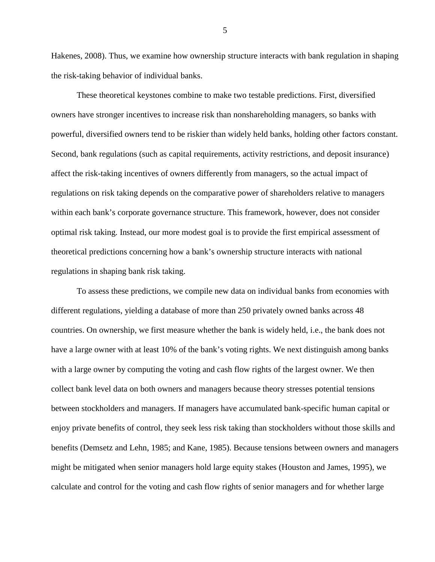Hakenes, 2008). Thus, we examine how ownership structure interacts with bank regulation in shaping the risk-taking behavior of individual banks.

These theoretical keystones combine to make two testable predictions. First, diversified owners have stronger incentives to increase risk than nonshareholding managers, so banks with powerful, diversified owners tend to be riskier than widely held banks, holding other factors constant. Second, bank regulations (such as capital requirements, activity restrictions, and deposit insurance) affect the risk-taking incentives of owners differently from managers, so the actual impact of regulations on risk taking depends on the comparative power of shareholders relative to managers within each bank's corporate governance structure. This framework, however, does not consider optimal risk taking. Instead, our more modest goal is to provide the first empirical assessment of theoretical predictions concerning how a bank's ownership structure interacts with national regulations in shaping bank risk taking.

To assess these predictions, we compile new data on individual banks from economies with different regulations, yielding a database of more than 250 privately owned banks across 48 countries. On ownership, we first measure whether the bank is widely held, i.e., the bank does not have a large owner with at least 10% of the bank's voting rights. We next distinguish among banks with a large owner by computing the voting and cash flow rights of the largest owner. We then collect bank level data on both owners and managers because theory stresses potential tensions between stockholders and managers. If managers have accumulated bank-specific human capital or enjoy private benefits of control, they seek less risk taking than stockholders without those skills and benefits (Demsetz and Lehn, 1985; and Kane, 1985). Because tensions between owners and managers might be mitigated when senior managers hold large equity stakes (Houston and James, 1995), we calculate and control for the voting and cash flow rights of senior managers and for whether large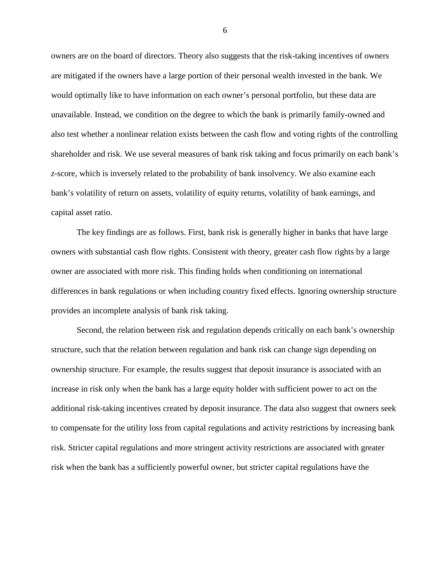owners are on the board of directors. Theory also suggests that the risk-taking incentives of owners are mitigated if the owners have a large portion of their personal wealth invested in the bank. We would optimally like to have information on each owner's personal portfolio, but these data are unavailable. Instead, we condition on the degree to which the bank is primarily family-owned and also test whether a nonlinear relation exists between the cash flow and voting rights of the controlling shareholder and risk. We use several measures of bank risk taking and focus primarily on each bank's *z-*score, which is inversely related to the probability of bank insolvency. We also examine each bank's volatility of return on assets, volatility of equity returns, volatility of bank earnings, and capital asset ratio.

The key findings are as follows. First, bank risk is generally higher in banks that have large owners with substantial cash flow rights. Consistent with theory, greater cash flow rights by a large owner are associated with more risk. This finding holds when conditioning on international differences in bank regulations or when including country fixed effects. Ignoring ownership structure provides an incomplete analysis of bank risk taking.

Second, the relation between risk and regulation depends critically on each bank's ownership structure, such that the relation between regulation and bank risk can change sign depending on ownership structure. For example, the results suggest that deposit insurance is associated with an increase in risk only when the bank has a large equity holder with sufficient power to act on the additional risk-taking incentives created by deposit insurance. The data also suggest that owners seek to compensate for the utility loss from capital regulations and activity restrictions by increasing bank risk. Stricter capital regulations and more stringent activity restrictions are associated with greater risk when the bank has a sufficiently powerful owner, but stricter capital regulations have the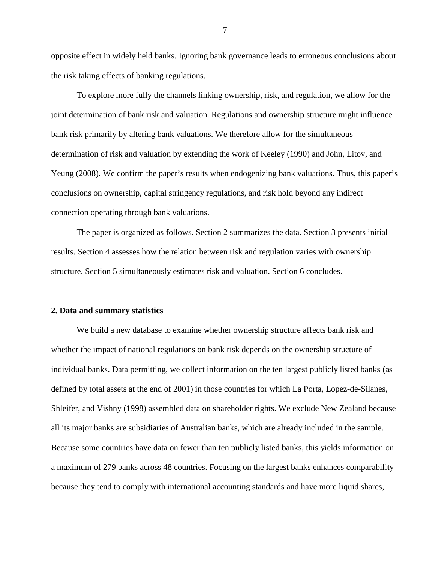opposite effect in widely held banks. Ignoring bank governance leads to erroneous conclusions about the risk taking effects of banking regulations.

To explore more fully the channels linking ownership, risk, and regulation, we allow for the joint determination of bank risk and valuation. Regulations and ownership structure might influence bank risk primarily by altering bank valuations. We therefore allow for the simultaneous determination of risk and valuation by extending the work of Keeley (1990) and John, Litov, and Yeung (2008). We confirm the paper's results when endogenizing bank valuations. Thus, this paper's conclusions on ownership, capital stringency regulations, and risk hold beyond any indirect connection operating through bank valuations.

The paper is organized as follows. Section 2 summarizes the data. Section 3 presents initial results. Section 4 assesses how the relation between risk and regulation varies with ownership structure. Section 5 simultaneously estimates risk and valuation. Section 6 concludes.

#### **2. Data and summary statistics**

We build a new database to examine whether ownership structure affects bank risk and whether the impact of national regulations on bank risk depends on the ownership structure of individual banks. Data permitting, we collect information on the ten largest publicly listed banks (as defined by total assets at the end of 2001) in those countries for which La Porta, Lopez-de-Silanes, Shleifer, and Vishny (1998) assembled data on shareholder rights. We exclude New Zealand because all its major banks are subsidiaries of Australian banks, which are already included in the sample. Because some countries have data on fewer than ten publicly listed banks, this yields information on a maximum of 279 banks across 48 countries. Focusing on the largest banks enhances comparability because they tend to comply with international accounting standards and have more liquid shares,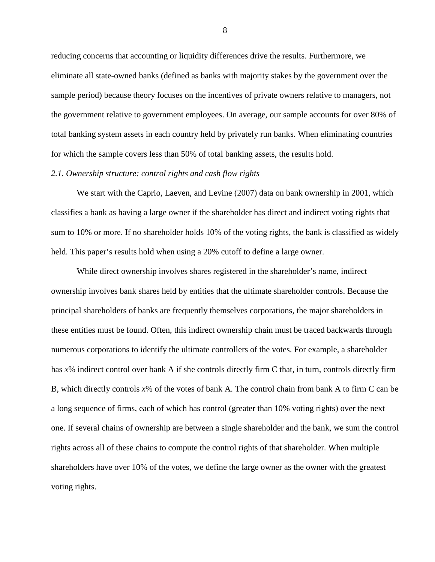reducing concerns that accounting or liquidity differences drive the results. Furthermore, we eliminate all state-owned banks (defined as banks with majority stakes by the government over the sample period) because theory focuses on the incentives of private owners relative to managers, not the government relative to government employees. On average, our sample accounts for over 80% of total banking system assets in each country held by privately run banks. When eliminating countries for which the sample covers less than 50% of total banking assets, the results hold.

#### *2.1. Ownership structure: control rights and cash flow rights*

We start with the Caprio, Laeven, and Levine (2007) data on bank ownership in 2001, which classifies a bank as having a large owner if the shareholder has direct and indirect voting rights that sum to 10% or more. If no shareholder holds 10% of the voting rights, the bank is classified as widely held. This paper's results hold when using a 20% cutoff to define a large owner.

While direct ownership involves shares registered in the shareholder's name, indirect ownership involves bank shares held by entities that the ultimate shareholder controls. Because the principal shareholders of banks are frequently themselves corporations, the major shareholders in these entities must be found. Often, this indirect ownership chain must be traced backwards through numerous corporations to identify the ultimate controllers of the votes. For example, a shareholder has *x*% indirect control over bank A if she controls directly firm C that, in turn, controls directly firm B, which directly controls *x*% of the votes of bank A. The control chain from bank A to firm C can be a long sequence of firms, each of which has control (greater than 10% voting rights) over the next one. If several chains of ownership are between a single shareholder and the bank, we sum the control rights across all of these chains to compute the control rights of that shareholder. When multiple shareholders have over 10% of the votes, we define the large owner as the owner with the greatest voting rights.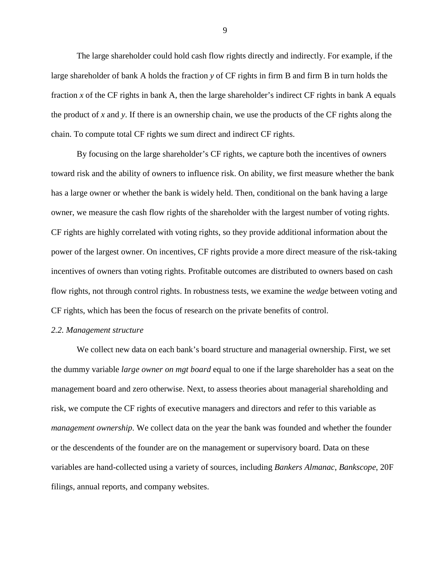The large shareholder could hold cash flow rights directly and indirectly. For example, if the large shareholder of bank A holds the fraction *y* of CF rights in firm B and firm B in turn holds the fraction *x* of the CF rights in bank A, then the large shareholder's indirect CF rights in bank A equals the product of *x* and *y*. If there is an ownership chain, we use the products of the CF rights along the chain. To compute total CF rights we sum direct and indirect CF rights.

By focusing on the large shareholder's CF rights, we capture both the incentives of owners toward risk and the ability of owners to influence risk. On ability, we first measure whether the bank has a large owner or whether the bank is widely held. Then, conditional on the bank having a large owner, we measure the cash flow rights of the shareholder with the largest number of voting rights. CF rights are highly correlated with voting rights, so they provide additional information about the power of the largest owner. On incentives, CF rights provide a more direct measure of the risk-taking incentives of owners than voting rights. Profitable outcomes are distributed to owners based on cash flow rights, not through control rights. In robustness tests, we examine the *wedge* between voting and CF rights, which has been the focus of research on the private benefits of control.

#### *2.2. Management structure*

We collect new data on each bank's board structure and managerial ownership. First, we set the dummy variable *large owner on mgt board* equal to one if the large shareholder has a seat on the management board and zero otherwise. Next, to assess theories about managerial shareholding and risk, we compute the CF rights of executive managers and directors and refer to this variable as *management ownership*. We collect data on the year the bank was founded and whether the founder or the descendents of the founder are on the management or supervisory board. Data on these variables are hand-collected using a variety of sources, including *Bankers Almanac*, *Bankscope*, 20F filings, annual reports, and company websites.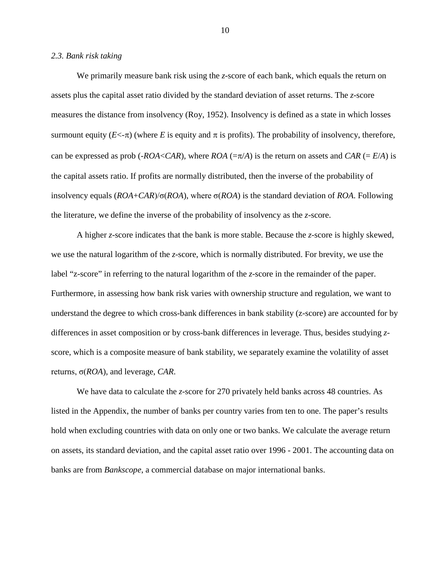#### *2.3. Bank risk taking*

We primarily measure bank risk using the *z-*score of each bank, which equals the return on assets plus the capital asset ratio divided by the standard deviation of asset returns. The *z-*score measures the distance from insolvency (Roy, 1952). Insolvency is defined as a state in which losses surmount equity  $(E<-\pi)$  (where *E* is equity and  $\pi$  is profits). The probability of insolvency, therefore, can be expressed as prob (- $ROA \leq CAR$ ), where  $ROA \left( = \pi/A \right)$  is the return on assets and  $CAR \left( = E/A \right)$  is the capital assets ratio. If profits are normally distributed, then the inverse of the probability of insolvency equals (*ROA*+*CAR*)/σ(*ROA*), where σ(*ROA*) is the standard deviation of *ROA*. Following the literature, we define the inverse of the probability of insolvency as the *z-*score.

A higher *z-*score indicates that the bank is more stable. Because the *z-*score is highly skewed, we use the natural logarithm of the *z-*score, which is normally distributed. For brevity, we use the label "z-score" in referring to the natural logarithm of the *z-*score in the remainder of the paper. Furthermore, in assessing how bank risk varies with ownership structure and regulation, we want to understand the degree to which cross-bank differences in bank stability (z-score) are accounted for by differences in asset composition or by cross-bank differences in leverage. Thus, besides studying *z*score, which is a composite measure of bank stability, we separately examine the volatility of asset returns, σ(*ROA*), and leverage, *CAR*.

We have data to calculate the *z-*score for 270 privately held banks across 48 countries. As listed in the Appendix, the number of banks per country varies from ten to one. The paper's results hold when excluding countries with data on only one or two banks. We calculate the average return on assets, its standard deviation, and the capital asset ratio over 1996 - 2001. The accounting data on banks are from *Bankscope*, a commercial database on major international banks.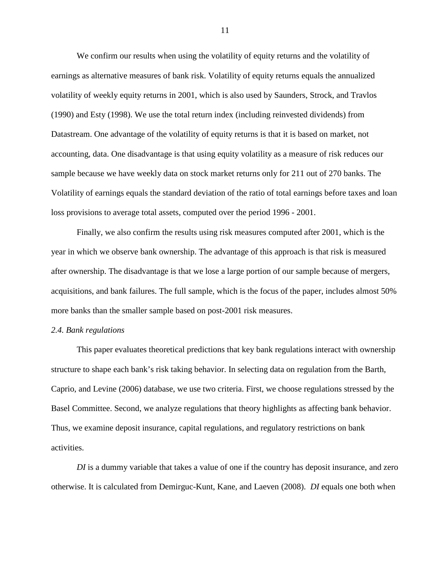We confirm our results when using the volatility of equity returns and the volatility of earnings as alternative measures of bank risk. Volatility of equity returns equals the annualized volatility of weekly equity returns in 2001, which is also used by Saunders, Strock, and Travlos (1990) and Esty (1998). We use the total return index (including reinvested dividends) from Datastream. One advantage of the volatility of equity returns is that it is based on market, not accounting, data. One disadvantage is that using equity volatility as a measure of risk reduces our sample because we have weekly data on stock market returns only for 211 out of 270 banks. The Volatility of earnings equals the standard deviation of the ratio of total earnings before taxes and loan loss provisions to average total assets, computed over the period 1996 - 2001.

Finally, we also confirm the results using risk measures computed after 2001, which is the year in which we observe bank ownership. The advantage of this approach is that risk is measured after ownership. The disadvantage is that we lose a large portion of our sample because of mergers, acquisitions, and bank failures. The full sample, which is the focus of the paper, includes almost 50% more banks than the smaller sample based on post-2001 risk measures.

#### *2.4. Bank regulations*

This paper evaluates theoretical predictions that key bank regulations interact with ownership structure to shape each bank's risk taking behavior. In selecting data on regulation from the Barth, Caprio, and Levine (2006) database, we use two criteria. First, we choose regulations stressed by the Basel Committee. Second, we analyze regulations that theory highlights as affecting bank behavior. Thus, we examine deposit insurance, capital regulations, and regulatory restrictions on bank activities.

*DI* is a dummy variable that takes a value of one if the country has deposit insurance, and zero otherwise. It is calculated from Demirguc-Kunt, Kane, and Laeven (2008). *DI* equals one both when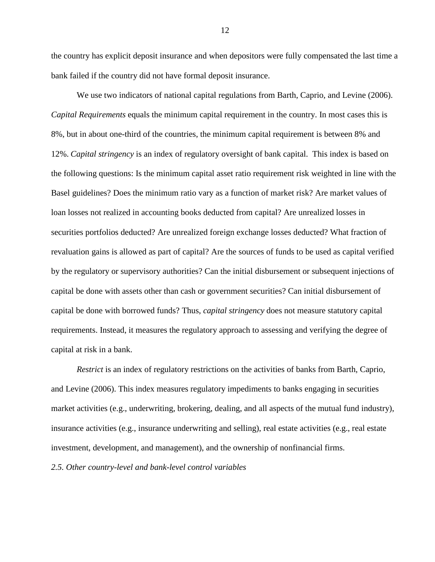the country has explicit deposit insurance and when depositors were fully compensated the last time a bank failed if the country did not have formal deposit insurance.

We use two indicators of national capital regulations from Barth, Caprio, and Levine (2006). *Capital Requirements* equals the minimum capital requirement in the country. In most cases this is 8%, but in about one-third of the countries, the minimum capital requirement is between 8% and 12%. *Capital stringency* is an index of regulatory oversight of bank capital. This index is based on the following questions: Is the minimum capital asset ratio requirement risk weighted in line with the Basel guidelines? Does the minimum ratio vary as a function of market risk? Are market values of loan losses not realized in accounting books deducted from capital? Are unrealized losses in securities portfolios deducted? Are unrealized foreign exchange losses deducted? What fraction of revaluation gains is allowed as part of capital? Are the sources of funds to be used as capital verified by the regulatory or supervisory authorities? Can the initial disbursement or subsequent injections of capital be done with assets other than cash or government securities? Can initial disbursement of capital be done with borrowed funds? Thus, *capital stringency* does not measure statutory capital requirements. Instead, it measures the regulatory approach to assessing and verifying the degree of capital at risk in a bank.

*Restrict* is an index of regulatory restrictions on the activities of banks from Barth, Caprio, and Levine (2006). This index measures regulatory impediments to banks engaging in securities market activities (e.g., underwriting, brokering, dealing, and all aspects of the mutual fund industry), insurance activities (e.g., insurance underwriting and selling), real estate activities (e.g., real estate investment, development, and management), and the ownership of nonfinancial firms.

*2.5. Other country-level and bank-level control variables*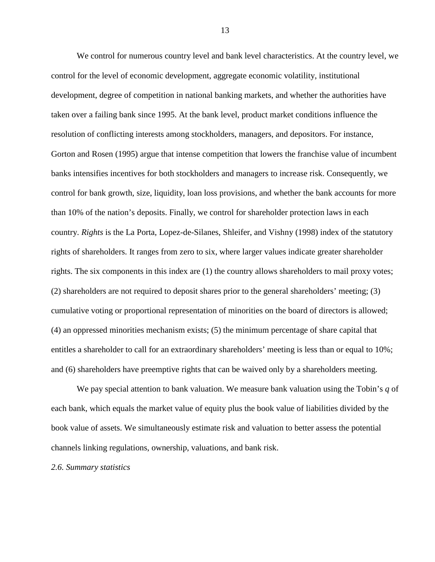We control for numerous country level and bank level characteristics. At the country level, we control for the level of economic development, aggregate economic volatility, institutional development, degree of competition in national banking markets, and whether the authorities have taken over a failing bank since 1995. At the bank level, product market conditions influence the resolution of conflicting interests among stockholders, managers, and depositors. For instance, Gorton and Rosen (1995) argue that intense competition that lowers the franchise value of incumbent banks intensifies incentives for both stockholders and managers to increase risk. Consequently, we control for bank growth, size, liquidity, loan loss provisions, and whether the bank accounts for more than 10% of the nation's deposits. Finally, we control for shareholder protection laws in each country. *Rights* is the La Porta, Lopez-de-Silanes, Shleifer, and Vishny (1998) index of the statutory rights of shareholders. It ranges from zero to six, where larger values indicate greater shareholder rights. The six components in this index are (1) the country allows shareholders to mail proxy votes; (2) shareholders are not required to deposit shares prior to the general shareholders' meeting; (3) cumulative voting or proportional representation of minorities on the board of directors is allowed; (4) an oppressed minorities mechanism exists; (5) the minimum percentage of share capital that entitles a shareholder to call for an extraordinary shareholders' meeting is less than or equal to 10%; and (6) shareholders have preemptive rights that can be waived only by a shareholders meeting.

We pay special attention to bank valuation. We measure bank valuation using the Tobin's *q* of each bank, which equals the market value of equity plus the book value of liabilities divided by the book value of assets. We simultaneously estimate risk and valuation to better assess the potential channels linking regulations, ownership, valuations, and bank risk.

#### *2.6. Summary statistics*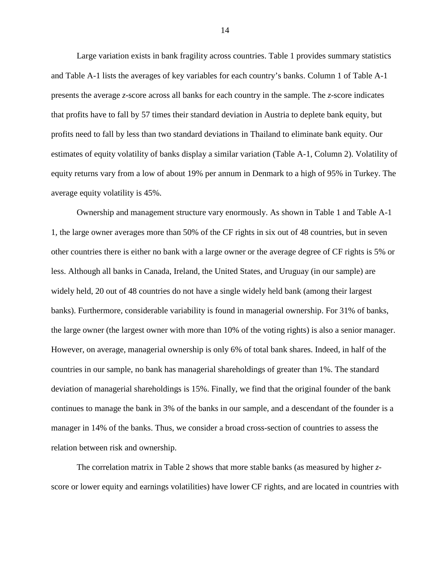Large variation exists in bank fragility across countries. Table 1 provides summary statistics and Table A-1 lists the averages of key variables for each country's banks. Column 1 of Table A-1 presents the average *z-*score across all banks for each country in the sample. The *z-*score indicates that profits have to fall by 57 times their standard deviation in Austria to deplete bank equity, but profits need to fall by less than two standard deviations in Thailand to eliminate bank equity. Our estimates of equity volatility of banks display a similar variation (Table A-1, Column 2). Volatility of equity returns vary from a low of about 19% per annum in Denmark to a high of 95% in Turkey. The average equity volatility is 45%.

Ownership and management structure vary enormously. As shown in Table 1 and Table A-1 1, the large owner averages more than 50% of the CF rights in six out of 48 countries, but in seven other countries there is either no bank with a large owner or the average degree of CF rights is 5% or less. Although all banks in Canada, Ireland, the United States, and Uruguay (in our sample) are widely held, 20 out of 48 countries do not have a single widely held bank (among their largest banks). Furthermore, considerable variability is found in managerial ownership. For 31% of banks, the large owner (the largest owner with more than 10% of the voting rights) is also a senior manager. However, on average, managerial ownership is only 6% of total bank shares. Indeed, in half of the countries in our sample, no bank has managerial shareholdings of greater than 1%. The standard deviation of managerial shareholdings is 15%. Finally, we find that the original founder of the bank continues to manage the bank in 3% of the banks in our sample, and a descendant of the founder is a manager in 14% of the banks. Thus, we consider a broad cross-section of countries to assess the relation between risk and ownership.

The correlation matrix in Table 2 shows that more stable banks (as measured by higher *z*score or lower equity and earnings volatilities) have lower CF rights, and are located in countries with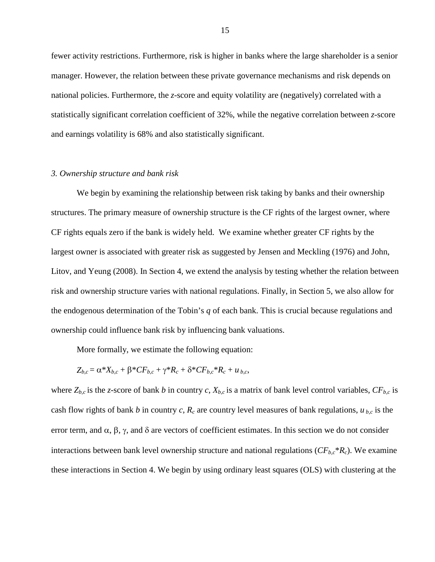fewer activity restrictions. Furthermore, risk is higher in banks where the large shareholder is a senior manager. However, the relation between these private governance mechanisms and risk depends on national policies. Furthermore, the *z-*score and equity volatility are (negatively) correlated with a statistically significant correlation coefficient of 32%, while the negative correlation between *z-*score and earnings volatility is 68% and also statistically significant.

### *3. Ownership structure and bank risk*

We begin by examining the relationship between risk taking by banks and their ownership structures. The primary measure of ownership structure is the CF rights of the largest owner, where CF rights equals zero if the bank is widely held. We examine whether greater CF rights by the largest owner is associated with greater risk as suggested by Jensen and Meckling (1976) and John, Litov, and Yeung (2008). In Section 4, we extend the analysis by testing whether the relation between risk and ownership structure varies with national regulations. Finally, in Section 5, we also allow for the endogenous determination of the Tobin's *q* of each bank. This is crucial because regulations and ownership could influence bank risk by influencing bank valuations.

More formally, we estimate the following equation:

$$
Z_{b,c} = \alpha^* X_{b,c} + \beta^* CF_{b,c} + \gamma^* R_c + \delta^* CF_{b,c} * R_c + u_{b,c},
$$

where  $Z_{b,c}$  is the *z*-score of bank *b* in country *c*,  $X_{b,c}$  is a matrix of bank level control variables,  $CF_{b,c}$  is cash flow rights of bank *b* in country *c*,  $R_c$  are country level measures of bank regulations,  $u_{bc}$  is the error term, and  $\alpha$ ,  $\beta$ ,  $\gamma$ , and  $\delta$  are vectors of coefficient estimates. In this section we do not consider interactions between bank level ownership structure and national regulations  $(CF_{bc} * R_c)$ . We examine these interactions in Section 4. We begin by using ordinary least squares (OLS) with clustering at the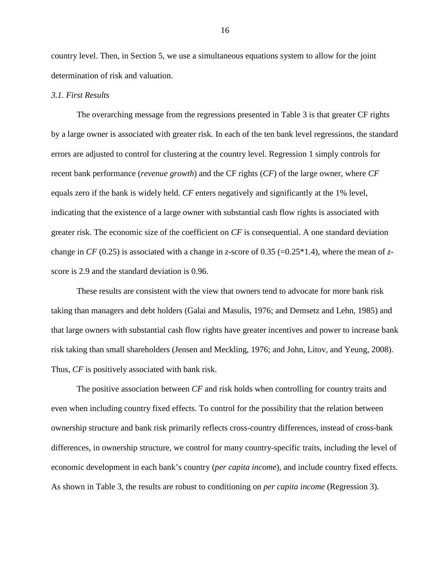country level. Then, in Section 5, we use a simultaneous equations system to allow for the joint determination of risk and valuation.

### *3.1. First Results*

The overarching message from the regressions presented in Table 3 is that greater CF rights by a large owner is associated with greater risk. In each of the ten bank level regressions, the standard errors are adjusted to control for clustering at the country level. Regression 1 simply controls for recent bank performance (*revenue growth*) and the CF rights (*CF*) of the large owner, where *CF* equals zero if the bank is widely held. *CF* enters negatively and significantly at the 1% level, indicating that the existence of a large owner with substantial cash flow rights is associated with greater risk. The economic size of the coefficient on *CF* is consequential. A one standard deviation change in *CF* (0.25) is associated with a change in *z*-score of 0.35 (=0.25 $*1.4$ ), where the mean of *z*score is 2.9 and the standard deviation is 0.96.

These results are consistent with the view that owners tend to advocate for more bank risk taking than managers and debt holders (Galai and Masulis, 1976; and Demsetz and Lehn, 1985) and that large owners with substantial cash flow rights have greater incentives and power to increase bank risk taking than small shareholders (Jensen and Meckling, 1976; and John, Litov, and Yeung, 2008). Thus, *CF* is positively associated with bank risk.

The positive association between *CF* and risk holds when controlling for country traits and even when including country fixed effects. To control for the possibility that the relation between ownership structure and bank risk primarily reflects cross-country differences, instead of cross-bank differences, in ownership structure, we control for many country-specific traits, including the level of economic development in each bank's country (*per capita income*), and include country fixed effects. As shown in Table 3, the results are robust to conditioning on *per capita income* (Regression 3).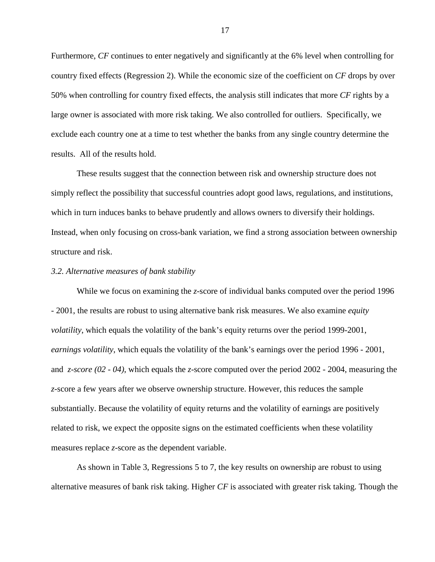Furthermore, *CF* continues to enter negatively and significantly at the 6% level when controlling for country fixed effects (Regression 2). While the economic size of the coefficient on *CF* drops by over 50% when controlling for country fixed effects, the analysis still indicates that more *CF* rights by a large owner is associated with more risk taking. We also controlled for outliers. Specifically, we exclude each country one at a time to test whether the banks from any single country determine the results. All of the results hold.

These results suggest that the connection between risk and ownership structure does not simply reflect the possibility that successful countries adopt good laws, regulations, and institutions, which in turn induces banks to behave prudently and allows owners to diversify their holdings. Instead, when only focusing on cross-bank variation, we find a strong association between ownership structure and risk.

#### *3.2. Alternative measures of bank stability*

While we focus on examining the *z-*score of individual banks computed over the period 1996 - 2001, the results are robust to using alternative bank risk measures. We also examine *equity volatility*, which equals the volatility of the bank's equity returns over the period 1999-2001, *earnings volatility*, which equals the volatility of the bank's earnings over the period 1996 - 2001, and *z-score (02 - 04)*, which equals the *z-*score computed over the period 2002 - 2004, measuring the *z-*score a few years after we observe ownership structure. However, this reduces the sample substantially. Because the volatility of equity returns and the volatility of earnings are positively related to risk, we expect the opposite signs on the estimated coefficients when these volatility measures replace *z-*score as the dependent variable.

As shown in Table 3, Regressions 5 to 7, the key results on ownership are robust to using alternative measures of bank risk taking. Higher *CF* is associated with greater risk taking. Though the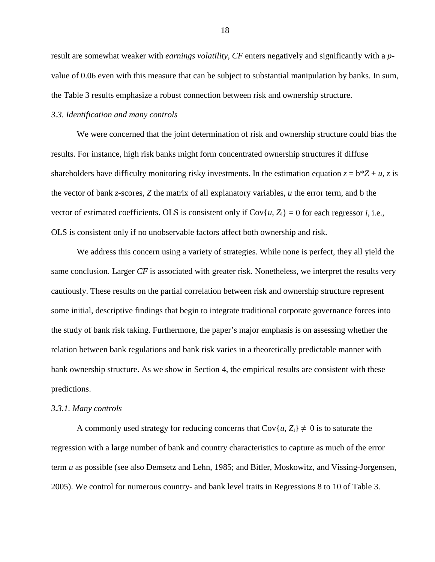result are somewhat weaker with *earnings volatility*, *CF* enters negatively and significantly with a *p*value of 0.06 even with this measure that can be subject to substantial manipulation by banks. In sum, the Table 3 results emphasize a robust connection between risk and ownership structure.

## *3.3. Identification and many controls*

We were concerned that the joint determination of risk and ownership structure could bias the results. For instance, high risk banks might form concentrated ownership structures if diffuse shareholders have difficulty monitoring risky investments. In the estimation equation  $z = b^*Z + u$ , *z* is the vector of bank *z-*scores, *Z* the matrix of all explanatory variables, *u* the error term, and b the vector of estimated coefficients. OLS is consistent only if  $Cov{u, Z_i} = 0$  for each regressor *i*, i.e., OLS is consistent only if no unobservable factors affect both ownership and risk.

We address this concern using a variety of strategies. While none is perfect, they all yield the same conclusion. Larger *CF* is associated with greater risk. Nonetheless, we interpret the results very cautiously. These results on the partial correlation between risk and ownership structure represent some initial, descriptive findings that begin to integrate traditional corporate governance forces into the study of bank risk taking. Furthermore, the paper's major emphasis is on assessing whether the relation between bank regulations and bank risk varies in a theoretically predictable manner with bank ownership structure. As we show in Section 4, the empirical results are consistent with these predictions.

#### *3.3.1. Many controls*

A commonly used strategy for reducing concerns that  $Cov{u, Z_i} \neq 0$  is to saturate the regression with a large number of bank and country characteristics to capture as much of the error term *u* as possible (see also Demsetz and Lehn, 1985; and Bitler, Moskowitz, and Vissing-Jorgensen, 2005). We control for numerous country- and bank level traits in Regressions 8 to 10 of Table 3.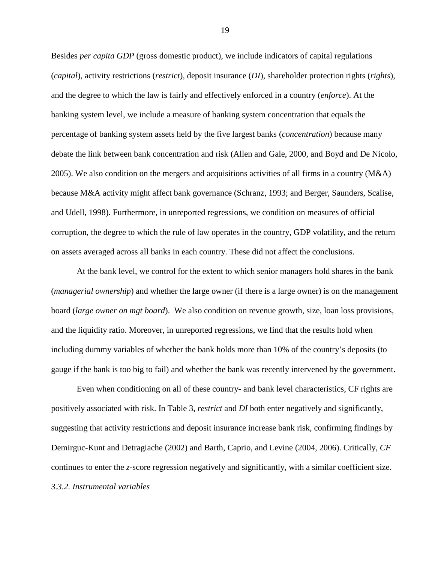Besides *per capita GDP* (gross domestic product), we include indicators of capital regulations (*capital*), activity restrictions (*restrict*), deposit insurance (*DI*), shareholder protection rights (*rights*), and the degree to which the law is fairly and effectively enforced in a country (*enforce*). At the banking system level, we include a measure of banking system concentration that equals the percentage of banking system assets held by the five largest banks (*concentration*) because many debate the link between bank concentration and risk (Allen and Gale, 2000, and Boyd and De Nicolo, 2005). We also condition on the mergers and acquisitions activities of all firms in a country  $(M&A)$ because M&A activity might affect bank governance (Schranz, 1993; and Berger, Saunders, Scalise, and Udell, 1998). Furthermore, in unreported regressions, we condition on measures of official corruption, the degree to which the rule of law operates in the country, GDP volatility, and the return on assets averaged across all banks in each country. These did not affect the conclusions.

At the bank level, we control for the extent to which senior managers hold shares in the bank (*managerial ownership*) and whether the large owner (if there is a large owner) is on the management board (*large owner on mgt board*). We also condition on revenue growth, size, loan loss provisions, and the liquidity ratio. Moreover, in unreported regressions, we find that the results hold when including dummy variables of whether the bank holds more than 10% of the country's deposits (to gauge if the bank is too big to fail) and whether the bank was recently intervened by the government.

Even when conditioning on all of these country- and bank level characteristics, CF rights are positively associated with risk. In Table 3, *restrict* and *DI* both enter negatively and significantly, suggesting that activity restrictions and deposit insurance increase bank risk, confirming findings by Demirguc-Kunt and Detragiache (2002) and Barth, Caprio, and Levine (2004, 2006). Critically, *CF* continues to enter the *z-*score regression negatively and significantly, with a similar coefficient size.

## *3.3.2. Instrumental variables*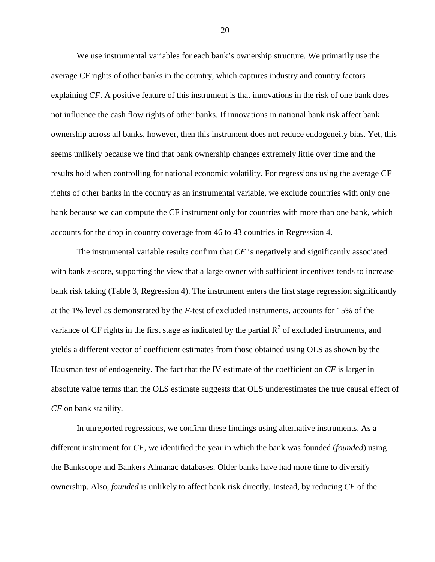We use instrumental variables for each bank's ownership structure. We primarily use the average CF rights of other banks in the country, which captures industry and country factors explaining *CF*. A positive feature of this instrument is that innovations in the risk of one bank does not influence the cash flow rights of other banks. If innovations in national bank risk affect bank ownership across all banks, however, then this instrument does not reduce endogeneity bias. Yet, this seems unlikely because we find that bank ownership changes extremely little over time and the results hold when controlling for national economic volatility. For regressions using the average CF rights of other banks in the country as an instrumental variable, we exclude countries with only one bank because we can compute the CF instrument only for countries with more than one bank, which accounts for the drop in country coverage from 46 to 43 countries in Regression 4.

The instrumental variable results confirm that *CF* is negatively and significantly associated with bank *z*-score, supporting the view that a large owner with sufficient incentives tends to increase bank risk taking (Table 3, Regression 4). The instrument enters the first stage regression significantly at the 1% level as demonstrated by the *F*-test of excluded instruments, accounts for 15% of the variance of CF rights in the first stage as indicated by the partial  $R^2$  of excluded instruments, and yields a different vector of coefficient estimates from those obtained using OLS as shown by the Hausman test of endogeneity. The fact that the IV estimate of the coefficient on *CF* is larger in absolute value terms than the OLS estimate suggests that OLS underestimates the true causal effect of *CF* on bank stability.

In unreported regressions, we confirm these findings using alternative instruments. As a different instrument for *CF*, we identified the year in which the bank was founded (*founded*) using the Bankscope and Bankers Almanac databases. Older banks have had more time to diversify ownership. Also, *founded* is unlikely to affect bank risk directly. Instead, by reducing *CF* of the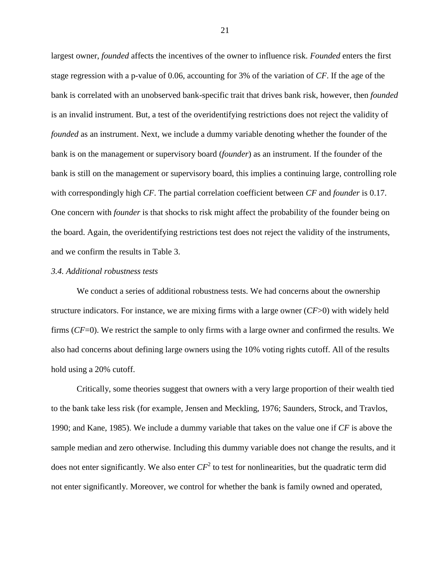largest owner, *founded* affects the incentives of the owner to influence risk. *Founded* enters the first stage regression with a p-value of 0.06, accounting for 3% of the variation of *CF*. If the age of the bank is correlated with an unobserved bank-specific trait that drives bank risk, however, then *founded* is an invalid instrument. But, a test of the overidentifying restrictions does not reject the validity of *founded* as an instrument. Next, we include a dummy variable denoting whether the founder of the bank is on the management or supervisory board (*founder*) as an instrument. If the founder of the bank is still on the management or supervisory board, this implies a continuing large, controlling role with correspondingly high *CF*. The partial correlation coefficient between *CF* and *founder* is 0.17. One concern with *founder* is that shocks to risk might affect the probability of the founder being on the board. Again, the overidentifying restrictions test does not reject the validity of the instruments, and we confirm the results in Table 3.

### *3.4. Additional robustness tests*

We conduct a series of additional robustness tests. We had concerns about the ownership structure indicators. For instance, we are mixing firms with a large owner (*CF*>0) with widely held firms (*CF*=0). We restrict the sample to only firms with a large owner and confirmed the results. We also had concerns about defining large owners using the 10% voting rights cutoff. All of the results hold using a 20% cutoff.

Critically, some theories suggest that owners with a very large proportion of their wealth tied to the bank take less risk (for example, Jensen and Meckling, 1976; Saunders, Strock, and Travlos, 1990; and Kane, 1985). We include a dummy variable that takes on the value one if *CF* is above the sample median and zero otherwise. Including this dummy variable does not change the results, and it does not enter significantly. We also enter  $CF^2$  to test for nonlinearities, but the quadratic term did not enter significantly. Moreover, we control for whether the bank is family owned and operated,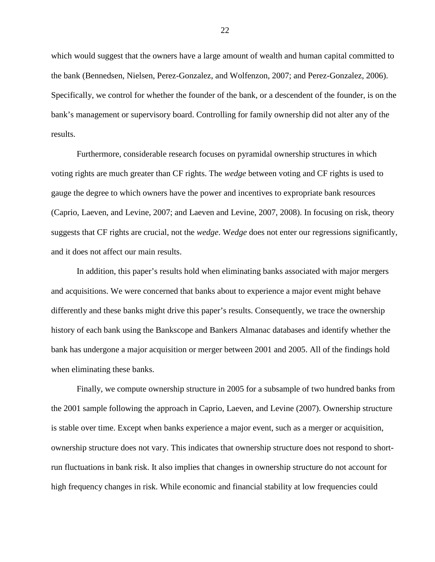which would suggest that the owners have a large amount of wealth and human capital committed to the bank (Bennedsen, Nielsen, Perez-Gonzalez, and Wolfenzon, 2007; and Perez-Gonzalez, 2006). Specifically, we control for whether the founder of the bank, or a descendent of the founder, is on the bank's management or supervisory board. Controlling for family ownership did not alter any of the results.

Furthermore, considerable research focuses on pyramidal ownership structures in which voting rights are much greater than CF rights. The *wedge* between voting and CF rights is used to gauge the degree to which owners have the power and incentives to expropriate bank resources (Caprio, Laeven, and Levine, 2007; and Laeven and Levine, 2007, 2008). In focusing on risk, theory suggests that CF rights are crucial, not the *wedge*. W*edge* does not enter our regressions significantly, and it does not affect our main results.

In addition, this paper's results hold when eliminating banks associated with major mergers and acquisitions. We were concerned that banks about to experience a major event might behave differently and these banks might drive this paper's results. Consequently, we trace the ownership history of each bank using the Bankscope and Bankers Almanac databases and identify whether the bank has undergone a major acquisition or merger between 2001 and 2005. All of the findings hold when eliminating these banks.

Finally, we compute ownership structure in 2005 for a subsample of two hundred banks from the 2001 sample following the approach in Caprio, Laeven, and Levine (2007). Ownership structure is stable over time. Except when banks experience a major event, such as a merger or acquisition, ownership structure does not vary. This indicates that ownership structure does not respond to shortrun fluctuations in bank risk. It also implies that changes in ownership structure do not account for high frequency changes in risk. While economic and financial stability at low frequencies could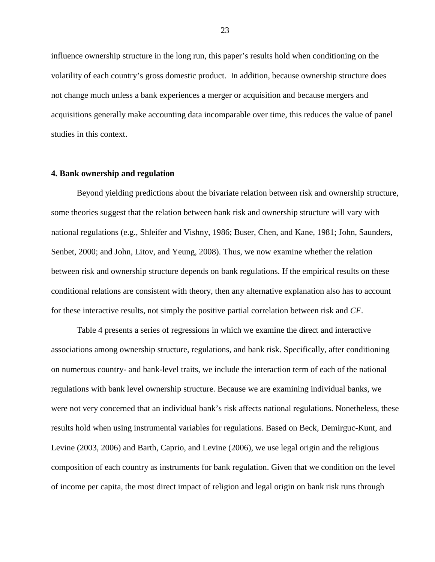influence ownership structure in the long run, this paper's results hold when conditioning on the volatility of each country's gross domestic product. In addition, because ownership structure does not change much unless a bank experiences a merger or acquisition and because mergers and acquisitions generally make accounting data incomparable over time, this reduces the value of panel studies in this context.

### **4. Bank ownership and regulation**

Beyond yielding predictions about the bivariate relation between risk and ownership structure, some theories suggest that the relation between bank risk and ownership structure will vary with national regulations (e.g., Shleifer and Vishny, 1986; Buser, Chen, and Kane, 1981; John, Saunders, Senbet, 2000; and John, Litov, and Yeung, 2008). Thus, we now examine whether the relation between risk and ownership structure depends on bank regulations. If the empirical results on these conditional relations are consistent with theory, then any alternative explanation also has to account for these interactive results, not simply the positive partial correlation between risk and *CF*.

Table 4 presents a series of regressions in which we examine the direct and interactive associations among ownership structure, regulations, and bank risk. Specifically, after conditioning on numerous country- and bank-level traits, we include the interaction term of each of the national regulations with bank level ownership structure. Because we are examining individual banks, we were not very concerned that an individual bank's risk affects national regulations. Nonetheless, these results hold when using instrumental variables for regulations. Based on Beck, Demirguc-Kunt, and Levine (2003, 2006) and Barth, Caprio, and Levine (2006), we use legal origin and the religious composition of each country as instruments for bank regulation. Given that we condition on the level of income per capita, the most direct impact of religion and legal origin on bank risk runs through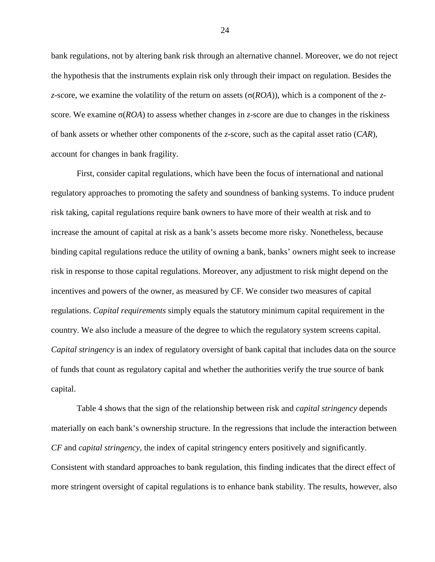bank regulations, not by altering bank risk through an alternative channel. Moreover, we do not reject the hypothesis that the instruments explain risk only through their impact on regulation. Besides the *z-*score, we examine the volatility of the return on assets (σ(*ROA*)), which is a component of the *z*score. We examine σ(*ROA*) to assess whether changes in *z-*score are due to changes in the riskiness of bank assets or whether other components of the *z-*score, such as the capital asset ratio (*CAR*), account for changes in bank fragility.

First, consider capital regulations, which have been the focus of international and national regulatory approaches to promoting the safety and soundness of banking systems. To induce prudent risk taking, capital regulations require bank owners to have more of their wealth at risk and to increase the amount of capital at risk as a bank's assets become more risky. Nonetheless, because binding capital regulations reduce the utility of owning a bank, banks' owners might seek to increase risk in response to those capital regulations. Moreover, any adjustment to risk might depend on the incentives and powers of the owner, as measured by CF. We consider two measures of capital regulations. *Capital requirements* simply equals the statutory minimum capital requirement in the country. We also include a measure of the degree to which the regulatory system screens capital. *Capital stringency* is an index of regulatory oversight of bank capital that includes data on the source of funds that count as regulatory capital and whether the authorities verify the true source of bank capital.

Table 4 shows that the sign of the relationship between risk and *capital stringency* depends materially on each bank's ownership structure. In the regressions that include the interaction between *CF* and *capital stringency*, the index of capital stringency enters positively and significantly. Consistent with standard approaches to bank regulation, this finding indicates that the direct effect of more stringent oversight of capital regulations is to enhance bank stability. The results, however, also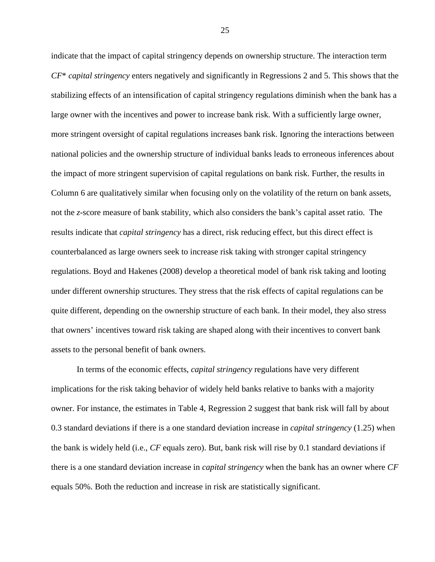indicate that the impact of capital stringency depends on ownership structure. The interaction term *CF*\* *capital stringency* enters negatively and significantly in Regressions 2 and 5. This shows that the stabilizing effects of an intensification of capital stringency regulations diminish when the bank has a large owner with the incentives and power to increase bank risk. With a sufficiently large owner, more stringent oversight of capital regulations increases bank risk. Ignoring the interactions between national policies and the ownership structure of individual banks leads to erroneous inferences about the impact of more stringent supervision of capital regulations on bank risk. Further, the results in Column 6 are qualitatively similar when focusing only on the volatility of the return on bank assets, not the *z-*score measure of bank stability, which also considers the bank's capital asset ratio. The results indicate that *capital stringency* has a direct, risk reducing effect, but this direct effect is counterbalanced as large owners seek to increase risk taking with stronger capital stringency regulations. Boyd and Hakenes (2008) develop a theoretical model of bank risk taking and looting under different ownership structures. They stress that the risk effects of capital regulations can be quite different, depending on the ownership structure of each bank. In their model, they also stress that owners' incentives toward risk taking are shaped along with their incentives to convert bank assets to the personal benefit of bank owners.

In terms of the economic effects, *capital stringency* regulations have very different implications for the risk taking behavior of widely held banks relative to banks with a majority owner. For instance, the estimates in Table 4, Regression 2 suggest that bank risk will fall by about 0.3 standard deviations if there is a one standard deviation increase in *capital stringency* (1.25) when the bank is widely held (i.e., *CF* equals zero). But, bank risk will rise by 0.1 standard deviations if there is a one standard deviation increase in *capital stringency* when the bank has an owner where *CF* equals 50%. Both the reduction and increase in risk are statistically significant.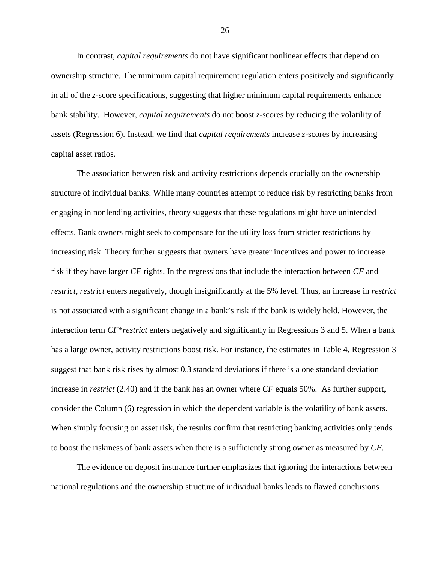In contrast, *capital requirements* do not have significant nonlinear effects that depend on ownership structure. The minimum capital requirement regulation enters positively and significantly in all of the *z-*score specifications, suggesting that higher minimum capital requirements enhance bank stability. However, *capital requirements* do not boost *z-*scores by reducing the volatility of assets (Regression 6). Instead, we find that *capital requirements* increase *z-*scores by increasing capital asset ratios.

The association between risk and activity restrictions depends crucially on the ownership structure of individual banks. While many countries attempt to reduce risk by restricting banks from engaging in nonlending activities, theory suggests that these regulations might have unintended effects. Bank owners might seek to compensate for the utility loss from stricter restrictions by increasing risk. Theory further suggests that owners have greater incentives and power to increase risk if they have larger *CF* rights. In the regressions that include the interaction between *CF* and *restrict*, *restrict* enters negatively, though insignificantly at the 5% level. Thus, an increase in *restrict* is not associated with a significant change in a bank's risk if the bank is widely held. However, the interaction term *CF*\**restrict* enters negatively and significantly in Regressions 3 and 5. When a bank has a large owner, activity restrictions boost risk. For instance, the estimates in Table 4, Regression 3 suggest that bank risk rises by almost 0.3 standard deviations if there is a one standard deviation increase in *restrict* (2.40) and if the bank has an owner where *CF* equals 50%. As further support, consider the Column (6) regression in which the dependent variable is the volatility of bank assets. When simply focusing on asset risk, the results confirm that restricting banking activities only tends to boost the riskiness of bank assets when there is a sufficiently strong owner as measured by *CF*.

The evidence on deposit insurance further emphasizes that ignoring the interactions between national regulations and the ownership structure of individual banks leads to flawed conclusions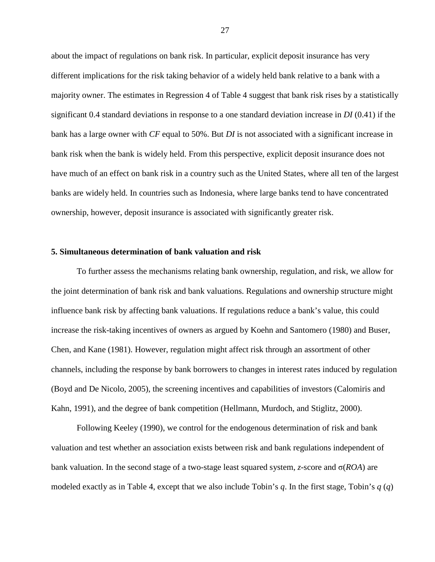about the impact of regulations on bank risk. In particular, explicit deposit insurance has very different implications for the risk taking behavior of a widely held bank relative to a bank with a majority owner. The estimates in Regression 4 of Table 4 suggest that bank risk rises by a statistically significant 0.4 standard deviations in response to a one standard deviation increase in *DI* (0.41) if the bank has a large owner with *CF* equal to 50%. But *DI* is not associated with a significant increase in bank risk when the bank is widely held. From this perspective, explicit deposit insurance does not have much of an effect on bank risk in a country such as the United States, where all ten of the largest banks are widely held. In countries such as Indonesia, where large banks tend to have concentrated ownership, however, deposit insurance is associated with significantly greater risk.

#### **5. Simultaneous determination of bank valuation and risk**

To further assess the mechanisms relating bank ownership, regulation, and risk, we allow for the joint determination of bank risk and bank valuations. Regulations and ownership structure might influence bank risk by affecting bank valuations. If regulations reduce a bank's value, this could increase the risk-taking incentives of owners as argued by Koehn and Santomero (1980) and Buser, Chen, and Kane (1981). However, regulation might affect risk through an assortment of other channels, including the response by bank borrowers to changes in interest rates induced by regulation (Boyd and De Nicolo, 2005), the screening incentives and capabilities of investors (Calomiris and Kahn, 1991), and the degree of bank competition (Hellmann, Murdoch, and Stiglitz, 2000).

Following Keeley (1990), we control for the endogenous determination of risk and bank valuation and test whether an association exists between risk and bank regulations independent of bank valuation. In the second stage of a two-stage least squared system, *z-*score and σ(*ROA*) are modeled exactly as in Table 4, except that we also include Tobin's *q*. In the first stage, Tobin's *q* (*q*)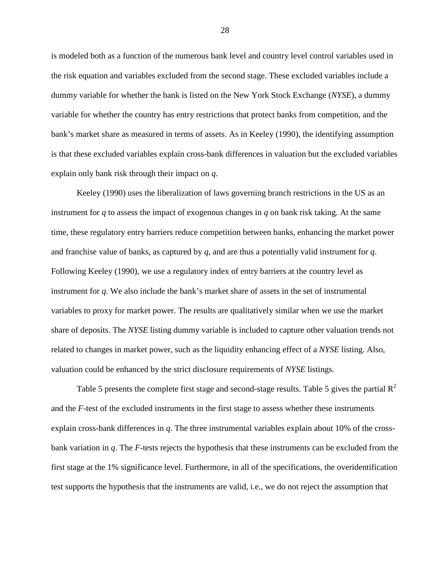is modeled both as a function of the numerous bank level and country level control variables used in the risk equation and variables excluded from the second stage. These excluded variables include a dummy variable for whether the bank is listed on the New York Stock Exchange (*NYSE*), a dummy variable for whether the country has entry restrictions that protect banks from competition, and the bank's market share as measured in terms of assets. As in Keeley (1990), the identifying assumption is that these excluded variables explain cross-bank differences in valuation but the excluded variables explain only bank risk through their impact on *q*.

Keeley (1990) uses the liberalization of laws governing branch restrictions in the US as an instrument for *q* to assess the impact of exogenous changes in *q* on bank risk taking. At the same time, these regulatory entry barriers reduce competition between banks, enhancing the market power and franchise value of banks, as captured by *q*, and are thus a potentially valid instrument for *q*. Following Keeley (1990), we use a regulatory index of entry barriers at the country level as instrument for *q*. We also include the bank's market share of assets in the set of instrumental variables to proxy for market power. The results are qualitatively similar when we use the market share of deposits. The *NYSE* listing dummy variable is included to capture other valuation trends not related to changes in market power, such as the liquidity enhancing effect of a *NYSE* listing. Also, valuation could be enhanced by the strict disclosure requirements of *NYSE* listings.

Table 5 presents the complete first stage and second-stage results. Table 5 gives the partial  $R^2$ and the *F*-test of the excluded instruments in the first stage to assess whether these instruments explain cross-bank differences in *q*. The three instrumental variables explain about 10% of the crossbank variation in *q*. The *F*-tests rejects the hypothesis that these instruments can be excluded from the first stage at the 1% significance level. Furthermore, in all of the specifications, the overidentification test supports the hypothesis that the instruments are valid, i.e., we do not reject the assumption that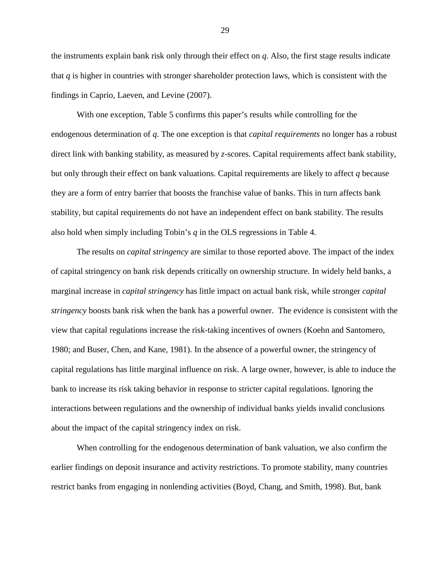the instruments explain bank risk only through their effect on *q*. Also, the first stage results indicate that *q* is higher in countries with stronger shareholder protection laws, which is consistent with the findings in Caprio, Laeven, and Levine (2007).

With one exception, Table 5 confirms this paper's results while controlling for the endogenous determination of *q*. The one exception is that *capital requirements* no longer has a robust direct link with banking stability, as measured by *z-*scores. Capital requirements affect bank stability, but only through their effect on bank valuations. Capital requirements are likely to affect *q* because they are a form of entry barrier that boosts the franchise value of banks. This in turn affects bank stability, but capital requirements do not have an independent effect on bank stability. The results also hold when simply including Tobin's *q* in the OLS regressions in Table 4.

The results on *capital stringency* are similar to those reported above. The impact of the index of capital stringency on bank risk depends critically on ownership structure. In widely held banks, a marginal increase in *capital stringency* has little impact on actual bank risk, while stronger *capital stringency* boosts bank risk when the bank has a powerful owner. The evidence is consistent with the view that capital regulations increase the risk-taking incentives of owners (Koehn and Santomero, 1980; and Buser, Chen, and Kane, 1981). In the absence of a powerful owner, the stringency of capital regulations has little marginal influence on risk. A large owner, however, is able to induce the bank to increase its risk taking behavior in response to stricter capital regulations. Ignoring the interactions between regulations and the ownership of individual banks yields invalid conclusions about the impact of the capital stringency index on risk.

When controlling for the endogenous determination of bank valuation, we also confirm the earlier findings on deposit insurance and activity restrictions. To promote stability, many countries restrict banks from engaging in nonlending activities (Boyd, Chang, and Smith, 1998). But, bank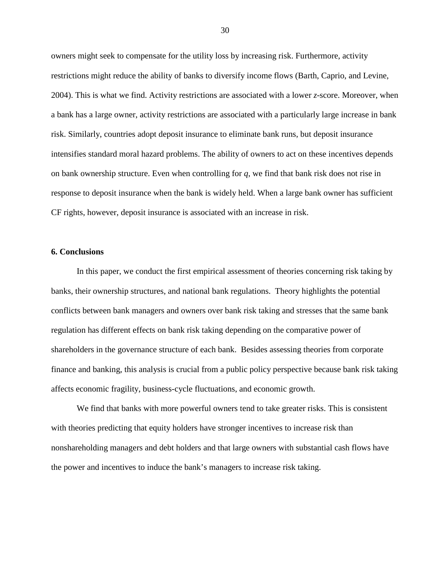owners might seek to compensate for the utility loss by increasing risk. Furthermore, activity restrictions might reduce the ability of banks to diversify income flows (Barth, Caprio, and Levine, 2004). This is what we find. Activity restrictions are associated with a lower *z-*score. Moreover, when a bank has a large owner, activity restrictions are associated with a particularly large increase in bank risk. Similarly, countries adopt deposit insurance to eliminate bank runs, but deposit insurance intensifies standard moral hazard problems. The ability of owners to act on these incentives depends on bank ownership structure. Even when controlling for *q*, we find that bank risk does not rise in response to deposit insurance when the bank is widely held. When a large bank owner has sufficient CF rights, however, deposit insurance is associated with an increase in risk.

### **6. Conclusions**

In this paper, we conduct the first empirical assessment of theories concerning risk taking by banks, their ownership structures, and national bank regulations. Theory highlights the potential conflicts between bank managers and owners over bank risk taking and stresses that the same bank regulation has different effects on bank risk taking depending on the comparative power of shareholders in the governance structure of each bank. Besides assessing theories from corporate finance and banking, this analysis is crucial from a public policy perspective because bank risk taking affects economic fragility, business-cycle fluctuations, and economic growth.

We find that banks with more powerful owners tend to take greater risks. This is consistent with theories predicting that equity holders have stronger incentives to increase risk than nonshareholding managers and debt holders and that large owners with substantial cash flows have the power and incentives to induce the bank's managers to increase risk taking.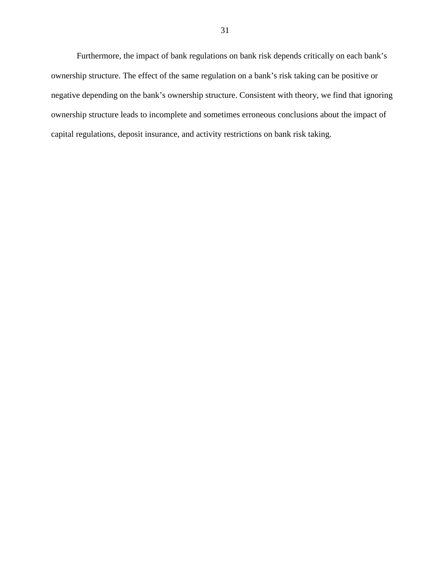Furthermore, the impact of bank regulations on bank risk depends critically on each bank's ownership structure. The effect of the same regulation on a bank's risk taking can be positive or negative depending on the bank's ownership structure. Consistent with theory, we find that ignoring ownership structure leads to incomplete and sometimes erroneous conclusions about the impact of capital regulations, deposit insurance, and activity restrictions on bank risk taking.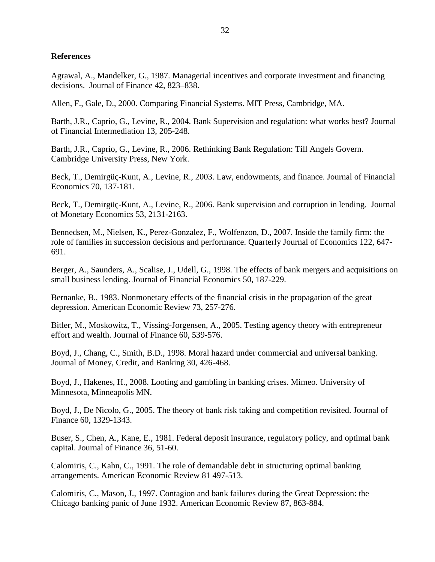## **References**

Agrawal, A., Mandelker, G., 1987. Managerial incentives and corporate investment and financing decisions. Journal of Finance 42, 823–838.

Allen, F., Gale, D., 2000. Comparing Financial Systems. MIT Press, Cambridge, MA.

Barth, J.R., Caprio, G., Levine, R., 2004. Bank Supervision and regulation: what works best? Journal of Financial Intermediation 13, 205-248.

Barth, J.R., Caprio, G., Levine, R., 2006. Rethinking Bank Regulation: Till Angels Govern. Cambridge University Press, New York.

Beck, T., Demirgüç-Kunt, A., Levine, R., 2003. Law, endowments, and finance. Journal of Financial Economics 70, 137-181.

Beck, T., Demirgüç-Kunt, A., Levine, R., 2006. Bank supervision and corruption in lending. Journal of Monetary Economics 53, 2131-2163.

Bennedsen, M., Nielsen, K., Perez-Gonzalez, F., Wolfenzon, D., 2007. Inside the family firm: the role of families in succession decisions and performance. Quarterly Journal of Economics 122, 647- 691.

Berger, A., Saunders, A., Scalise, J., Udell, G., 1998. The effects of bank mergers and acquisitions on small business lending. Journal of Financial Economics 50, 187-229.

Bernanke, B., 1983. Nonmonetary effects of the financial crisis in the propagation of the great depression. American Economic Review 73, 257-276.

Bitler, M., Moskowitz, T., Vissing-Jorgensen, A., 2005. Testing agency theory with entrepreneur effort and wealth. Journal of Finance 60, 539-576.

Boyd, J., Chang, C., Smith, B.D., 1998. Moral hazard under commercial and universal banking. Journal of Money, Credit, and Banking 30, 426-468.

Boyd, J., Hakenes, H., 2008. Looting and gambling in banking crises. Mimeo. University of Minnesota, Minneapolis MN.

Boyd, J., De Nicolo, G., 2005. The theory of bank risk taking and competition revisited. Journal of Finance 60, 1329-1343.

Buser, S., Chen, A., Kane, E., 1981. Federal deposit insurance, regulatory policy, and optimal bank capital. Journal of Finance 36, 51-60.

Calomiris, C., Kahn, C., 1991. The role of demandable debt in structuring optimal banking arrangements. American Economic Review 81 497-513.

Calomiris, C., Mason, J., 1997. Contagion and bank failures during the Great Depression: the Chicago banking panic of June 1932. American Economic Review 87, 863-884.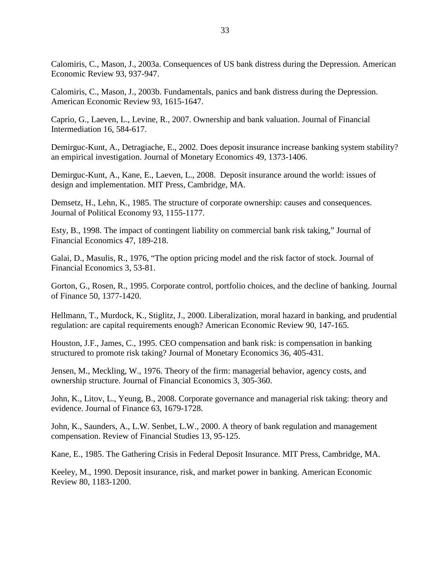Calomiris, C., Mason, J., 2003a. Consequences of US bank distress during the Depression. American Economic Review 93, 937-947.

Calomiris, C., Mason, J., 2003b. Fundamentals, panics and bank distress during the Depression. American Economic Review 93, 1615-1647.

Caprio, G., Laeven, L., Levine, R., 2007. Ownership and bank valuation. Journal of Financial Intermediation 16, 584-617.

Demirguc-Kunt, A., Detragiache, E., 2002. Does deposit insurance increase banking system stability? an empirical investigation. Journal of Monetary Economics 49, 1373-1406.

Demirguc-Kunt, A., Kane, E., Laeven, L., 2008. Deposit insurance around the world: issues of design and implementation. MIT Press, Cambridge, MA.

Demsetz, H., Lehn, K., 1985. The structure of corporate ownership: causes and consequences. Journal of Political Economy 93, 1155-1177.

Esty, B., 1998. The impact of contingent liability on commercial bank risk taking," Journal of Financial Economics 47, 189-218.

Galai, D., Masulis, R., 1976, "The option pricing model and the risk factor of stock. Journal of Financial Economics 3, 53-81.

Gorton, G., Rosen, R., 1995. Corporate control, portfolio choices, and the decline of banking. Journal of Finance 50, 1377-1420.

Hellmann, T., Murdock, K., Stiglitz, J., 2000. Liberalization, moral hazard in banking, and prudential regulation: are capital requirements enough? American Economic Review 90, 147-165.

Houston, J.F., James, C., 1995. CEO compensation and bank risk: is compensation in banking structured to promote risk taking? Journal of Monetary Economics 36, 405-431.

Jensen, M., Meckling, W., 1976. Theory of the firm: managerial behavior, agency costs, and ownership structure. Journal of Financial Economics 3, 305-360.

John, K., Litov, L., Yeung, B., 2008. Corporate governance and managerial risk taking: theory and evidence. Journal of Finance 63, 1679-1728.

John, K., Saunders, A., L.W. Senbet, L.W., 2000. A theory of bank regulation and management compensation. Review of Financial Studies 13, 95-125.

Kane, E., 1985. The Gathering Crisis in Federal Deposit Insurance. MIT Press, Cambridge, MA.

Keeley, M., 1990. Deposit insurance, risk, and market power in banking. American Economic Review 80, 1183-1200.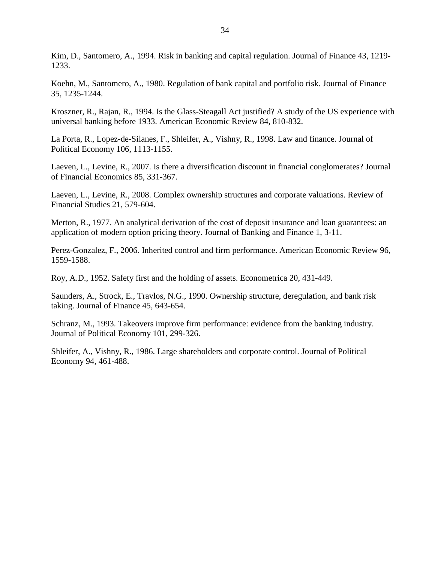Kim, D., Santomero, A., 1994. Risk in banking and capital regulation. Journal of Finance 43, 1219- 1233.

Koehn, M., Santomero, A., 1980. Regulation of bank capital and portfolio risk. Journal of Finance 35, 1235-1244.

Kroszner, R., Rajan, R., 1994. Is the Glass-Steagall Act justified? A study of the US experience with universal banking before 1933. American Economic Review 84, 810-832.

La Porta, R., Lopez-de-Silanes, F., Shleifer, A., Vishny, R., 1998. Law and finance. Journal of Political Economy 106, 1113-1155.

Laeven, L., Levine, R., 2007. Is there a diversification discount in financial conglomerates? Journal of Financial Economics 85, 331-367.

Laeven, L., Levine, R., 2008. Complex ownership structures and corporate valuations. Review of Financial Studies 21, 579-604.

Merton, R., 1977. An analytical derivation of the cost of deposit insurance and loan guarantees: an application of modern option pricing theory. Journal of Banking and Finance 1, 3-11.

Perez-Gonzalez, F., 2006. Inherited control and firm performance. American Economic Review 96, 1559-1588.

Roy, A.D., 1952. Safety first and the holding of assets. Econometrica 20, 431-449.

Saunders, A., Strock, E., Travlos, N.G., 1990. Ownership structure, deregulation, and bank risk taking. Journal of Finance 45, 643-654.

Schranz, M., 1993. Takeovers improve firm performance: evidence from the banking industry. Journal of Political Economy 101, 299-326.

Shleifer, A., Vishny, R., 1986. Large shareholders and corporate control. Journal of Political Economy 94, 461-488.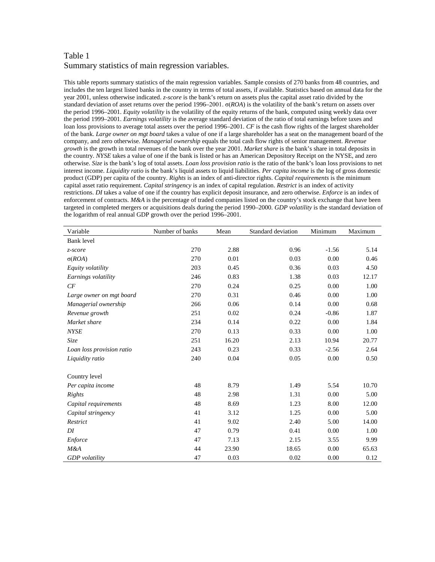## Table 1 Summary statistics of main regression variables.

This table reports summary statistics of the main regression variables. Sample consists of 270 banks from 48 countries, and includes the ten largest listed banks in the country in terms of total assets, if available. Statistics based on annual data for the year 2001, unless otherwise indicated. *z-score* is the bank's return on assets plus the capital asset ratio divided by the standard deviation of asset returns over the period 1996–2001. σ(*ROA*) is the volatility of the bank's return on assets over the period 1996–2001. *Equity volatility* is the volatility of the equity returns of the bank, computed using weekly data over the period 1999–2001. *Earnings volatility* is the average standard deviation of the ratio of total earnings before taxes and loan loss provisions to average total assets over the period 1996–2001. *CF* is the cash flow rights of the largest shareholder of the bank. *Large owner on mgt board* takes a value of one if a large shareholder has a seat on the management board of the company, and zero otherwise. *Managerial ownership* equals the total cash flow rights of senior management. *Revenue growth* is the growth in total revenues of the bank over the year 2001. *Market share* is the bank's share in total deposits in the country. *NYSE* takes a value of one if the bank is listed or has an American Depository Receipt on the NYSE, and zero otherwise. *Size* is the bank's log of total assets. *Loan loss provision ratio* is the ratio of the bank's loan loss provisions to net interest income. *Liquidity ratio* is the bank's liquid assets to liquid liabilities. *Per capita income* is the log of gross domestic product (GDP) per capita of the country. *Rights* is an index of anti-director rights. *Capital requirements* is the minimum capital asset ratio requirement. *Capital stringency* is an index of capital regulation. *Restrict* is an index of activity restrictions. *DI* takes a value of one if the country has explicit deposit insurance, and zero otherwise. *Enforce* is an index of enforcement of contracts. *M&A* is the percentage of traded companies listed on the country's stock exchange that have been targeted in completed mergers or acquisitions deals during the period 1990–2000. *GDP volatility* is the standard deviation of the logarithm of real annual GDP growth over the period 1996–2001.

| Variable                  | Number of banks | Mean  | Standard deviation | Minimum | Maximum |
|---------------------------|-----------------|-------|--------------------|---------|---------|
| Bank level                |                 |       |                    |         |         |
| z-score                   | 270             | 2.88  | 0.96               | $-1.56$ | 5.14    |
| $\sigma(ROA)$             | 270             | 0.01  | 0.03               | 0.00    | 0.46    |
| Equity volatility         | 203             | 0.45  | 0.36               | 0.03    | 4.50    |
| Earnings volatility       | 246             | 0.83  | 1.38               | 0.03    | 12.17   |
| CF                        | 270             | 0.24  | 0.25               | 0.00    | 1.00    |
| Large owner on mgt board  | 270             | 0.31  | 0.46               | 0.00    | 1.00    |
| Managerial ownership      | 266             | 0.06  | 0.14               | 0.00    | 0.68    |
| Revenue growth            | 251             | 0.02  | 0.24               | $-0.86$ | 1.87    |
| Market share              | 234             | 0.14  | 0.22               | 0.00    | 1.84    |
| <b>NYSE</b>               | 270             | 0.13  | 0.33               | 0.00    | 1.00    |
| Size                      | 251             | 16.20 | 2.13               | 10.94   | 20.77   |
| Loan loss provision ratio | 243             | 0.23  | 0.33               | $-2.56$ | 2.64    |
| Liquidity ratio           | 240             | 0.04  | 0.05               | 0.00    | 0.50    |
| Country level             |                 |       |                    |         |         |
| Per capita income         | 48              | 8.79  | 1.49               | 5.54    | 10.70   |
| Rights                    | 48              | 2.98  | 1.31               | 0.00    | 5.00    |
| Capital requirements      | 48              | 8.69  | 1.23               | 8.00    | 12.00   |
| Capital stringency        | 41              | 3.12  | 1.25               | 0.00    | 5.00    |
| Restrict                  | 41              | 9.02  | 2.40               | 5.00    | 14.00   |
| DI                        | 47              | 0.79  | 0.41               | 0.00    | 1.00    |
| Enforce                   | 47              | 7.13  | 2.15               | 3.55    | 9.99    |
| M&A                       | 44              | 23.90 | 18.65              | 0.00    | 65.63   |
| <b>GDP</b> volatility     | 47              | 0.03  | 0.02               | 0.00    | 0.12    |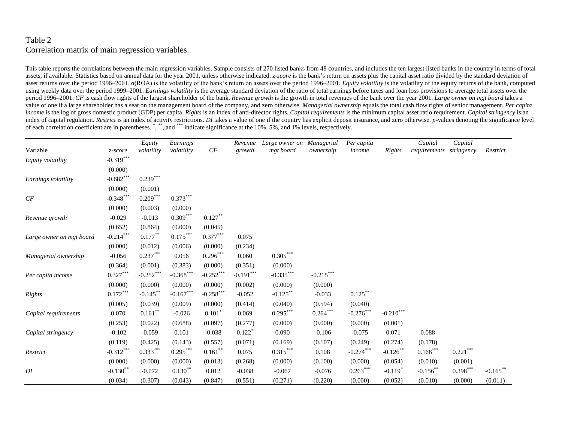## Table 2 Correlation matrix of main regression variables.

This table reports the correlations between the main regression variables. Sample consists of 270 listed banks from 48 countries, and includes the ten largest listed banks in the country in terms of total assets, if available. Statistics based on annual data for the year 2001, unless otherwise indicated. *z-score* is the bank's return on assets plus the capital asset ratio divided by the standard deviation of asset returns over the period 1996–2001. σ(ROA) is the volatility of the bank's return on assets over the period 1996–2001. *Equity volatility* is the volatility of the equity returns of the bank, computed using weekly data over the period 1999–2001. *Earnings volatility* is the average standard deviation of the ratio of total earnings before taxes and loan loss provisions to average total assets over the period 1996–2001. *CF* is cash flow rights of the largest shareholder of the bank. *Revenue growth* is the growth in total revenues of the bank over the year 2001. *Large owner on mgt board* takes a value of one if a large shareholder has a seat on the management board of the company, and zero otherwise. *Managerial ownership* equals the total cash flow rights of senior management. *Per capita*  income is the log of gross domestic product (GDP) per capita. Rights is an index of anti-director rights. Capital requirements is the minimum capital asset ratio requirement. Capital stringency is an index of capital regulation. Restrict is an index of activity restrictions. DI takes a value of one if the country has explicit deposit insurance, and zero otherwise. p-values denoting the significance level of each correlation coefficient are in parentheses. \*,\*\*\*, and \*\*\*\* indicate significance at the 10%, 5%, and 1% levels, respectively.

|                          |             | Equity      | Earnings    |             | Revenue              | Large owner on Managerial |             | Per capita  |                       | Capital      | Capital    |             |
|--------------------------|-------------|-------------|-------------|-------------|----------------------|---------------------------|-------------|-------------|-----------------------|--------------|------------|-------------|
| Variable                 | z-score     | volatility  | volatility  | $C\!F$      | growth               | mgt board                 | ownership   | income      | Rights                | requirements | stringency | Restrict    |
| Equity volatility        | $-0.319***$ |             |             |             |                      |                           |             |             |                       |              |            |             |
|                          | (0.000)     |             |             |             |                      |                           |             |             |                       |              |            |             |
| Earnings volatility      | $-0.682***$ | $0.239***$  |             |             |                      |                           |             |             |                       |              |            |             |
|                          | (0.000)     | (0.001)     |             |             |                      |                           |             |             |                       |              |            |             |
| CF                       | $-0.348***$ | $0.209***$  | $0.373***$  |             |                      |                           |             |             |                       |              |            |             |
|                          | (0.000)     | (0.003)     | (0.000)     |             |                      |                           |             |             |                       |              |            |             |
| Revenue growth           | $-0.029$    | $-0.013$    | $0.309***$  | $0.127***$  |                      |                           |             |             |                       |              |            |             |
|                          | (0.652)     | (0.864)     | (0.000)     | (0.045)     |                      |                           |             |             |                       |              |            |             |
| Large owner on mgt board | $-0.214***$ | $0.177***$  | $0.175***$  | $0.377***$  | 0.075                |                           |             |             |                       |              |            |             |
|                          | (0.000)     | (0.012)     | (0.006)     | (0.000)     | (0.234)              |                           |             |             |                       |              |            |             |
| Managerial ownership     | $-0.056$    | $0.237***$  | 0.056       | $0.296***$  | 0.060                | $0.305***$                |             |             |                       |              |            |             |
|                          | (0.364)     | (0.001)     | (0.383)     | (0.000)     | (0.351)              | (0.000)                   |             |             |                       |              |            |             |
| Per capita income        | $0.327***$  | $-0.252***$ | $-0.368***$ | $-0.252***$ | $-0.191***$          | $-0.335***$               | $-0.215***$ |             |                       |              |            |             |
|                          | (0.000)     | (0.000)     | (0.000)     | (0.000)     | (0.002)              | (0.000)                   | (0.000)     |             |                       |              |            |             |
| Rights                   | $0.172***$  | $-0.145***$ | $-0.167***$ | $-0.258***$ | $-0.052$             | $-0.125***$               | $-0.033$    | $0.125***$  |                       |              |            |             |
|                          | (0.005)     | (0.039)     | (0.009)     | (0.000)     | (0.414)              | (0.040)                   | (0.594)     | (0.040)     |                       |              |            |             |
| Capital requirements     | 0.070       | $0.161***$  | $-0.026$    | $0.101*$    | 0.069                | $0.295***$                | $0.264***$  | $-0.276***$ | $-0.210***$           |              |            |             |
|                          | (0.253)     | (0.022)     | (0.688)     | (0.097)     | (0.277)              | (0.000)                   | (0.000)     | (0.000)     | (0.001)               |              |            |             |
| Capital stringency       | $-0.102$    | $-0.059$    | 0.101       | $-0.038$    | $0.122$ <sup>*</sup> | 0.090                     | $-0.106$    | $-0.075$    | 0.071                 | 0.088        |            |             |
|                          | (0.119)     | (0.425)     | (0.143)     | (0.557)     | (0.071)              | (0.169)                   | (0.107)     | (0.249)     | (0.274)               | (0.178)      |            |             |
| Restrict                 | $-0.312***$ | $0.333***$  | $0.295***$  | $0.161$ **  | 0.075                | $0.315***$                | 0.108       | $-0.274***$ | $-0.126$ **           | $0.168***$   | $0.221***$ |             |
|                          | (0.000)     | (0.000)     | (0.000)     | (0.013)     | (0.268)              | (0.000)                   | (0.100)     | (0.000)     | (0.054)               | (0.010)      | (0.001)    |             |
| DI                       | $-0.130$ ** | $-0.072$    | $0.130**$   | 0.012       | $-0.038$             | $-0.067$                  | $-0.076$    | $0.263***$  | $-0.119$ <sup>*</sup> | $-0.156***$  | $0.398***$ | $-0.165***$ |
|                          | (0.034)     | (0.307)     | (0.043)     | (0.847)     | (0.551)              | (0.271)                   | (0.220)     | (0.000)     | (0.052)               | (0.010)      | (0.000)    | (0.011)     |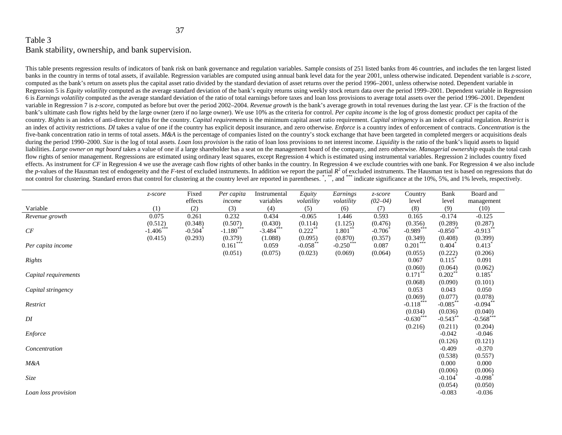## Table 3 Bank stability, ownership, and bank supervision.

This table presents regression results of indicators of bank risk on bank governance and regulation variables. Sample consists of 251 listed banks from 46 countries, and includes the ten largest listed banks in the country in terms of total assets, if available. Regression variables are computed using annual bank level data for the year 2001, unless otherwise indicated. Dependent variable is *z*-score, computed as the bank's return on assets plus the capital asset ratio divided by the standard deviation of asset returns over the period 1996–2001, unless otherwise noted. Dependent variable in Regression 5 is *Equity volatility* computed as the average standard deviation of the bank's equity returns using weekly stock return data over the period 1999–2001. Dependent variable in Regression 6 is *Earnings volatility* computed as the average standard deviation of the ratio of total earnings before taxes and loan loss provisions to average total assets over the period 1996–2001. Dependent variable in Regression 7 is *z-score*, computed as before but over the period 2002–2004. *Revenue growth* is the bank's average growth in total revenues during the last year. *CF* is the fraction of the bank's ultimate cash flow rights held by the large owner (zero if no large owner). We use 10% as the criteria for control. *Per capita income* is the log of gross domestic product per capita of the country. Rights is an index of anti-director rights for the country. Capital requirements is the minimum capital asset ratio requirement. Capital stringency is an index of capital regulation. Restrict is an index of activity restrictions. *DI* takes a value of one if the country has explicit deposit insurance, and zero otherwise. *Enforce* is a country index of enforcement of contracts. *Concentration* is the five-bank concentration ratio in terms of total assets. M&A is the percentage of companies listed on the country's stock exchange that have been targeted in completed mergers or acquisitions deals during the period 1990–2000. Size is the log of total assets. *Loan loss provision* is the ratio of loan loss provisions to net interest income. *Liquidity* is the ratio of the bank's liquid assets to liquid liabilities. *Large owner on mgt board* takes a value of one if a large shareholder has a seat on the management board of the company, and zero otherwise. *Managerial ownership* equals the total cash flow rights of senior management. Regressions are estimated using ordinary least squares, except Regression 4 which is estimated using instrumental variables. Regression 2 includes country fixed effects. As instrument for *CF* in Regression 4 we use the average cash flow rights of other banks in the country. In Regression 4 we exclude countries with one bank. For Regression 4 we also include the *p*-values of the Hausman test of endogeneity and the *F*-test of excluded instruments. In addition we report the partial  $R^2$  of excluded instruments. The Hausman test is based on regressions that do not control for clustering. Standard errors that control for clustering at the country level are reported in parentheses. \*, \*\*, and \*\*\* indicate significance at the 10%, 5%, and 1% levels, respectively.

|                      | z-score     | Fixed    | Per capita  | Instrumental            | Equity                | Earnings                | z-score   | Country                 | Bank                  | Board and             |
|----------------------|-------------|----------|-------------|-------------------------|-----------------------|-------------------------|-----------|-------------------------|-----------------------|-----------------------|
|                      |             | effects  | income      | variables               | volatility            | volatility              | $(02-04)$ | level                   | level                 | management            |
| Variable             | (1)         | (2)      | (3)         | (4)                     | (5)                   | (6)                     | (7)       | (8)                     | (9)                   | (10)                  |
| Revenue growth       | 0.075       | 0.261    | 0.232       | 0.434                   | $-0.065$              | 1.446                   | 0.593     | 0.165                   | $-0.174$              | $-0.125$              |
|                      | (0.512)     | (0.348)  | (0.507)     | (0.430)                 | (0.114)               | (1.125)                 | (0.476)   | (0.356)                 | (0.289)               | (0.287)               |
| $C\!F$               | $-1.406***$ | $-0.504$ | $-1.180***$ | $-3.484$ <sup>***</sup> | $0.222$ **            | $1.801***$              | $-0.706$  | $-0.989$ <sup>***</sup> | $-0.850**$            | $-0.913**$            |
|                      | (0.415)     | (0.293)  | (0.379)     | (1.088)                 | (0.095)               | (0.870)                 | (0.357)   | (0.349)                 | (0.408)               | (0.399)               |
| Per capita income    |             |          | $0.161***$  | 0.059                   | $-0.058$ <sup>*</sup> | $-0.250$ <sup>***</sup> | 0.087     | $0.201***$              | 0.404                 | $0.413$ <sup>*</sup>  |
|                      |             |          | (0.051)     | (0.075)                 | (0.023)               | (0.069)                 | (0.064)   | (0.055)                 | (0.222)               | (0.206)               |
| Rights               |             |          |             |                         |                       |                         |           | 0.067                   | $0.115^*$             | 0.091                 |
|                      |             |          |             |                         |                       |                         |           | (0.060)                 | (0.064)               | (0.062)               |
| Capital requirements |             |          |             |                         |                       |                         |           | $0.171***$              | $0.202$ <sup>**</sup> | $0.185$ <sup>*</sup>  |
|                      |             |          |             |                         |                       |                         |           | (0.068)                 | (0.090)               | (0.101)               |
| Capital stringency   |             |          |             |                         |                       |                         |           | 0.053                   | 0.043                 | 0.050                 |
|                      |             |          |             |                         |                       |                         |           | (0.069)                 | (0.077)               | (0.078)               |
| Restrict             |             |          |             |                         |                       |                         |           | $-0.118$ ***            | $-0.085$ **           | $-0.094$ **           |
|                      |             |          |             |                         |                       |                         |           | (0.034)                 | (0.036)               | (0.040)               |
| DI                   |             |          |             |                         |                       |                         |           | $-0.630***$             | $-0.543**$            | $-0.568***$           |
|                      |             |          |             |                         |                       |                         |           | (0.216)                 | (0.211)               | (0.204)               |
| <b>Enforce</b>       |             |          |             |                         |                       |                         |           |                         | $-0.042$              | $-0.046$              |
| Concentration        |             |          |             |                         |                       |                         |           |                         | (0.126)<br>$-0.409$   | (0.121)<br>$-0.370$   |
|                      |             |          |             |                         |                       |                         |           |                         | (0.538)               | (0.557)               |
| M&A                  |             |          |             |                         |                       |                         |           |                         | 0.000                 | 0.000                 |
|                      |             |          |             |                         |                       |                         |           |                         | (0.006)               | (0.006)               |
| Size                 |             |          |             |                         |                       |                         |           |                         | $-0.104$              | $-0.098$ <sup>*</sup> |
|                      |             |          |             |                         |                       |                         |           |                         | (0.054)               | (0.050)               |
| Loan loss provision  |             |          |             |                         |                       |                         |           |                         | $-0.083$              | $-0.036$              |
|                      |             |          |             |                         |                       |                         |           |                         |                       |                       |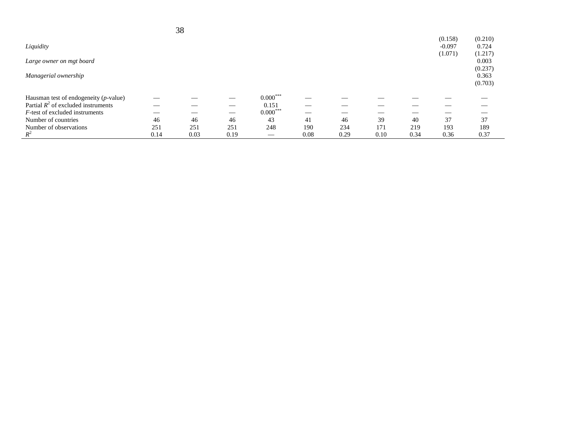| Liquidity                                |      |      |        |            |      |        |      |      | (0.158)<br>$-0.097$<br>(1.071) | (0.210)<br>0.724<br>(1.217) |
|------------------------------------------|------|------|--------|------------|------|--------|------|------|--------------------------------|-----------------------------|
| Large owner on mgt board                 |      |      |        |            |      |        |      |      |                                | 0.003                       |
| Managerial ownership                     |      |      |        |            |      |        |      |      |                                | (0.237)<br>0.363<br>(0.703) |
| Hausman test of endogeneity $(p$ -value) |      |      | $\sim$ | $0.000***$ |      |        |      |      |                                |                             |
| Partial $R^2$ of excluded instruments    |      |      |        | 0.151      |      |        |      |      |                                |                             |
| <i>F</i> -test of excluded instruments   |      |      |        | $0.000***$ |      | $\sim$ |      |      |                                |                             |
| Number of countries                      | 46   | 46   | 46     | 43         | 41   | 46     | 39   | 40   | 37                             | 37                          |
| Number of observations                   | 251  | 251  | 251    | 248        | 190  | 234    | 171  | 219  | 193                            | 189                         |
| $R^2$                                    | 0.14 | 0.03 | 0.19   | $-$        | 0.08 | 0.29   | 0.10 | 0.34 | 0.36                           | 0.37                        |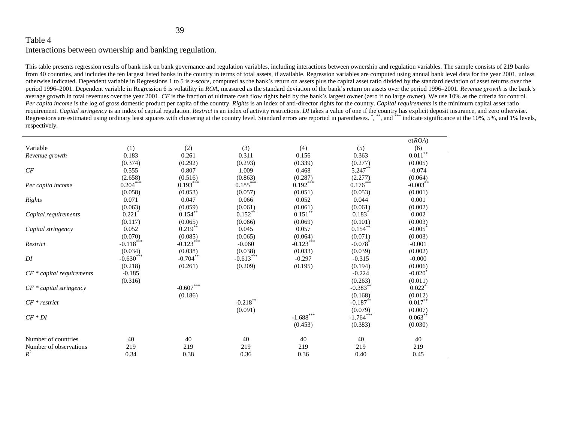## Table 4 Interactions between ownership and banking regulation.

This table presents regression results of bank risk on bank governance and regulation variables, including interactions between ownership and regulation variables. The sample consists of 219 banks from 40 countries, and includes the ten largest listed banks in the country in terms of total assets, if available. Regression variables are computed using annual bank level data for the year 2001, unless otherwise indicated. Dependent variable in Regressions 1 to 5 is *z-score*, computed as the bank's return on assets plus the capital asset ratio divided by the standard deviation of asset returns over the period 1996–2001. Dependent variable in Regression 6 is volatility in *ROA*, measured as the standard deviation of the bank's return on assets over the period 1996–2001. *Revenue growth* is the bank's average growth in total revenues over the year 2001. CF is the fraction of ultimate cash flow rights held by the bank's largest owner (zero if no large owner). We use 10% as the criteria for control. *Per capita income* is the log of gross domestic product per capita of the country. *Rights* is an index of anti-director rights for the country. *Capital requirements* is the minimum capital asset ratio requirement. Capital stringency is an index of capital regulation. Restrict is an index of activity restrictions. DI takes a value of one if the country has explicit deposit insurance, and zero otherwise. Regressions are estimated using ordinary least squares with clustering at the country level. Standard errors are reported in parentheses. \*,\*\*, and \*\*\*\* indicate significance at the 10%, 5%, and 1% levels, respectively.

|                             |                         |                         |             |                         |                        | $\sigma(ROA)$          |
|-----------------------------|-------------------------|-------------------------|-------------|-------------------------|------------------------|------------------------|
| Variable                    | (1)                     | (2)                     | (3)         | (4)                     | (5)                    | (6)                    |
| Revenue growth              | 0.183                   | 0.261                   | 0.311       | 0.156                   | 0.363                  | $0.011***$             |
|                             | (0.374)                 | (0.292)                 | (0.293)     | (0.339)                 | (0.277)                | (0.005)                |
| $C\!F$                      | 0.555                   | 0.807                   | 1.009       | 0.468                   | $5.247***$             | $-0.074$               |
|                             | (2.658)                 | (0.516)                 | (0.863)     | (0.287)                 | (2.277)                | (0.064)                |
| Per capita income           | $0.204$ ***             | $0.193***$              | $0.185***$  | $0.192***$              | $0.176***$             | $-0.003$ <sup>**</sup> |
|                             | (0.058)                 | (0.053)                 | (0.057)     | (0.051)                 | (0.053)                | (0.001)                |
| Rights                      | 0.071                   | 0.047                   | 0.066       | 0.052                   | 0.044                  | 0.001                  |
|                             | (0.063)                 | (0.059)                 | (0.061)     | (0.061)                 | (0.061)                | (0.002)                |
| Capital requirements        | $0.221$ <sup>*</sup>    | $0.154***$              | $0.152**$   | $0.151**$               | $0.183*$               | 0.002                  |
|                             | (0.117)                 | (0.065)                 | (0.066)     | (0.069)                 | (0.101)                | (0.003)                |
| Capital stringency          | 0.052                   | $0.219**$               | 0.045       | 0.057                   | $0.154***$             | $-0.005$               |
|                             | (0.070)                 | (0.085)                 | (0.065)     | (0.064)                 | (0.071)                | (0.003)                |
| Restrict                    | $-0.118***$             | $-0.123$ <sup>***</sup> | $-0.060$    | $-0.123$ <sup>***</sup> | $-0.078$ <sup>*</sup>  | $-0.001$               |
|                             | (0.034)                 | (0.038)                 | (0.038)     | (0.033)                 | (0.039)                | (0.002)                |
| DI                          | $-0.630$ <sup>***</sup> | $-0.704$ <sup>**</sup>  | $-0.613***$ | $-0.297$                | $-0.315$               | $-0.000$               |
|                             | (0.218)                 | (0.261)                 | (0.209)     | (0.195)                 | (0.194)                | (0.006)                |
| $CF * capital requirements$ | $-0.185$                |                         |             |                         | $-0.224$               | $-0.020$ <sup>*</sup>  |
|                             | (0.316)                 |                         |             |                         | (0.263)                | (0.011)                |
| $CF * capital$ stringency   |                         | $-0.607***$             |             |                         | $-0.383**$             | $0.022$ <sup>*</sup>   |
|                             |                         | (0.186)                 |             |                         | (0.168)                | (0.012)                |
| $CF * restrict$             |                         |                         | $-0.218$ ** |                         | $-0.187$ <sup>**</sup> | $0.017***$             |
|                             |                         |                         | (0.091)     |                         | (0.079)                | (0.007)                |
| $CF * DI$                   |                         |                         |             | $-1.688***$             | $-1.764***$            | $0.063***$             |
|                             |                         |                         |             | (0.453)                 | (0.383)                | (0.030)                |
| Number of countries         | 40                      | 40                      | 40          | 40                      | 40                     | 40                     |
| Number of observations      | 219                     | 219                     | 219         | 219                     | 219                    | 219                    |
| $R^2$                       | 0.34                    | 0.38                    | 0.36        | 0.36                    | 0.40                   | 0.45                   |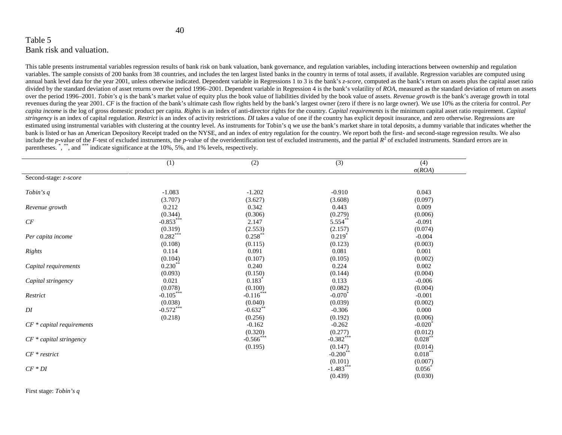## Table 5 Bank risk and valuation.

This table presents instrumental variables regression results of bank risk on bank valuation, bank governance, and regulation variables, including interactions between ownership and regulation variables. The sample consists of 200 banks from 38 countries, and includes the ten largest listed banks in the country in terms of total assets, if available. Regression variables are computed using annual bank level data for the year 2001, unless otherwise indicated. Dependent variable in Regressions 1 to 3 is the bank's *z-score*, computed as the bank's return on assets plus the capital asset ratio divided by the standard deviation of asset returns over the period 1996–2001. Dependent variable in Regression 4 is the bank's volatility of *ROA*, measured as the standard deviation of return on assets over the period 1996–2001. *Tobin's q* is the bank's market value of equity plus the book value of liabilities divided by the book value of assets. *Revenue growth* is the bank's average growth in total revenues during the year 2001. *CF* is the fraction of the bank's ultimate cash flow rights held by the bank's largest owner (zero if there is no large owner). We use 10% as the criteria for control. *Per* capita income is the log of gross domestic product per capita. Rights is an index of anti-director rights for the country. Capital requirements is the minimum capital asset ratio requirement. Capital *stringency* is an index of capital regulation. *Restrict* is an index of activity restrictions. *DI* takes a value of one if the country has explicit deposit insurance, and zero otherwise. Regressions are estimated using instrumental variables with clustering at the country level. As instruments for Tobin's q we use the bank's market share in total deposits, a dummy variable that indicates whether the bank is listed or has an American Depository Receipt traded on the NYSE, and an index of entry regulation for the country. We report both the first- and second-stage regression results. We also include the *p*-value of the *F*-test of excluded instruments, the *p*-value of the overidentification test of excluded instruments, and the partial  $R^2$  of excluded instruments. Standard errors are in parentheses. \*, \*\*, and \*\*\* indicate significance at the 10%, 5%, and 1% levels, respectively.

|                             | (1)         | (2)                                | (3)                               | (4)<br>$\sigma(ROA)$             |
|-----------------------------|-------------|------------------------------------|-----------------------------------|----------------------------------|
| Second-stage: z-score       |             |                                    |                                   |                                  |
| Tobin's $q$                 | $-1.083$    | $-1.202$                           | $-0.910$                          | 0.043                            |
|                             | (3.707)     | (3.627)                            | (3.608)                           | (0.097)                          |
| Revenue growth              | 0.212       | 0.342                              | 0.443                             | 0.009                            |
|                             | (0.344)     | (0.306)                            | (0.279)                           | (0.006)                          |
| $C\!F$                      | $-0.853***$ | 2.147                              | $5.554**$                         | $-0.091$                         |
|                             | (0.319)     | (2.553)                            | (2.157)                           | (0.074)                          |
| Per capita income           | $0.282***$  | $0.258***$                         | $0.219*$                          | $-0.004$                         |
|                             | (0.108)     | (0.115)                            | (0.123)                           | (0.003)                          |
| Rights                      | 0.114       | 0.091                              | 0.081                             | 0.001                            |
|                             | (0.104)     | (0.107)                            | (0.105)                           | (0.002)                          |
| Capital requirements        | $0.230**$   | 0.240                              | 0.224                             | 0.002                            |
|                             | (0.093)     | (0.150)                            | (0.144)                           | (0.004)                          |
| Capital stringency          | 0.021       | $0.183$ <sup>*</sup>               | 0.133                             | $-0.006$                         |
|                             | (0.078)     | (0.100)                            | (0.082)                           | (0.004)                          |
| Restrict                    | $-0.105***$ | $-0.116$ ***                       | $-0.070*$                         | $-0.001$                         |
|                             | (0.038)     | (0.040)                            | (0.039)                           | (0.002)                          |
| DI                          | $-0.572***$ | $-0.632**$                         | $-0.306$                          | 0.000                            |
|                             | (0.218)     | (0.256)                            | (0.192)                           | (0.006)                          |
| $CF * capital requirements$ |             | $-0.162$<br>(0.320)                | $-0.262$<br>(0.277)               | $-0.020$ <sup>*</sup><br>(0.012) |
| $CF * capital$ stringency   |             | $-0.566$ <sup>***</sup><br>(0.195) | $-0.382$ ***<br>(0.147)           | $0.028$ **<br>(0.014)            |
| $CF * restrict$             |             |                                    | $-0.200$ <sup>**</sup><br>(0.101) | $0.018$ **<br>(0.007)            |
| $CF * DI$                   |             |                                    | $-1.483***$<br>(0.439)            | $0.056^*$<br>(0.030)             |

First stage: *Tobin's q*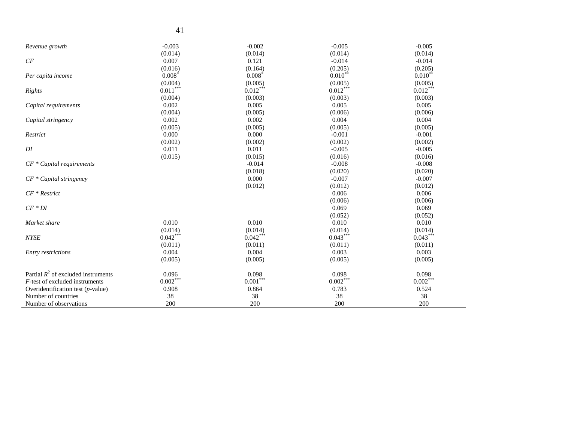| Revenue growth                        | $-0.003$            | $-0.002$            | $-0.005$                | $-0.005$             |
|---------------------------------------|---------------------|---------------------|-------------------------|----------------------|
|                                       | (0.014)             | (0.014)             | (0.014)                 | (0.014)              |
| CF                                    | 0.007               | 0.121               | $-0.014$                | $-0.014$             |
|                                       |                     |                     |                         |                      |
|                                       | (0.016)<br>$0.008*$ | (0.164)<br>$0.008*$ | (0.205)<br>$0.010^{**}$ | (0.205)<br>$0.010**$ |
| Per capita income                     |                     |                     |                         |                      |
|                                       | (0.004)             | (0.005)             | (0.005)                 | (0.005)              |
| Rights                                | $0.011***$          | $0.012***$          | $0.012***$              | $0.012***$           |
|                                       | (0.004)             | (0.003)             | (0.003)                 | (0.003)              |
| Capital requirements                  | 0.002               | 0.005               | 0.005                   | 0.005                |
|                                       | (0.004)             | (0.005)             | (0.006)                 | (0.006)              |
| Capital stringency                    | 0.002               | 0.002               | 0.004                   | 0.004                |
|                                       | (0.005)             | (0.005)             | (0.005)                 | (0.005)              |
| Restrict                              | 0.000               | 0.000               | $-0.001$                | $-0.001$             |
|                                       | (0.002)             | (0.002)             | (0.002)                 | (0.002)              |
| DI                                    | 0.011               | 0.011               | $-0.005$                | $-0.005$             |
|                                       | (0.015)             | (0.015)             | (0.016)                 | (0.016)              |
| $CF * Capital requirements$           |                     | $-0.014$            | $-0.008$                | $-0.008$             |
|                                       |                     | (0.018)             | (0.020)                 | (0.020)              |
| $CF * Capital \, stringency$          |                     | 0.000               | $-0.007$                | $-0.007$             |
|                                       |                     | (0.012)             | (0.012)                 | (0.012)              |
| $CF * Restrict$                       |                     |                     | 0.006                   | 0.006                |
|                                       |                     |                     | (0.006)                 | (0.006)              |
| $CF * DI$                             |                     |                     | 0.069                   | 0.069                |
|                                       |                     |                     | (0.052)                 | (0.052)              |
| Market share                          | 0.010               | 0.010               | 0.010                   | 0.010                |
|                                       | (0.014)             | (0.014)             | (0.014)                 | (0.014)              |
| <b>NYSE</b>                           | $0.042***$          | $0.042***$          | $0.043***$              | $0.043***$           |
|                                       | (0.011)             | (0.011)             | (0.011)                 | (0.011)              |
| <b>Entry restrictions</b>             | 0.004               | 0.004               | 0.003                   | 0.003                |
|                                       | (0.005)             | (0.005)             | (0.005)                 | (0.005)              |
|                                       |                     |                     |                         |                      |
| Partial $R^2$ of excluded instruments | 0.096               | 0.098               | 0.098                   | 0.098                |
| F-test of excluded instruments        | $0.002***$          | $0.001***$          | $0.002***$              | $0.002***$           |
| Overidentification test $(p$ -value)  | 0.908               | 0.864               | 0.783                   | 0.524                |
| Number of countries                   | 38                  | 38                  | 38                      | 38                   |
| Number of observations                | 200                 | 200                 | 200                     | 200                  |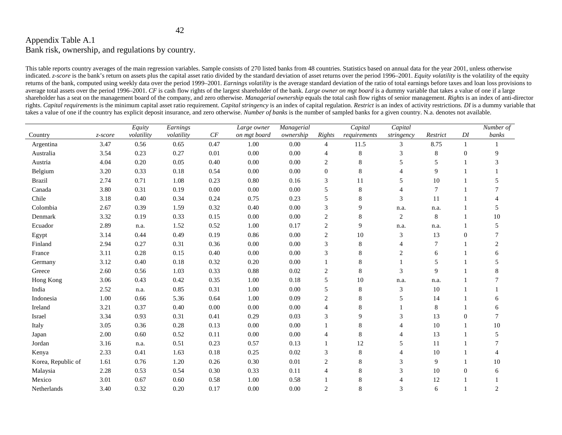## Appendix Table A.1 Bank risk, ownership, and regulations by country.

This table reports country averages of the main regression variables. Sample consists of 270 listed banks from 48 countries. Statistics based on annual data for the year 2001, unless otherwise indicated. *z*-score is the bank's return on assets plus the capital asset ratio divided by the standard deviation of asset returns over the period 1996–2001. *Equity volatility* is the volatility of the equity returns of the bank, computed using weekly data over the period 1999–2001. *Earnings volatility* is the average standard deviation of the ratio of total earnings before taxes and loan loss provisions to average total assets over the period 1996–2001. *CF* is cash flow rights of the largest shareholder of the bank. *Large owner on mgt board* is a dummy variable that takes a value of one if a large shareholder has a seat on the management board of the company, and zero otherwise. *Managerial ownership* equals the total cash flow rights of senior management. *Rights* is an index of anti-director rights. Capital requirements is the minimum capital asset ratio requirement. Capital stringency is an index of capital regulation. Restrict is an index of activity restrictions. DI is a dummy variable that takes a value of one if the country has explicit deposit insurance, and zero otherwise. *Number of banks* is the number of sampled banks for a given country. N.a. denotes not available.

|                    |         | Equity     | Earnings   |      | Large owner  | Managerial |                         | Capital      | Capital        |             |                  | Number of      |
|--------------------|---------|------------|------------|------|--------------|------------|-------------------------|--------------|----------------|-------------|------------------|----------------|
| Country            | z-score | volatility | volatility | CF   | on mgt board | ownership  | Rights                  | requirements | stringency     | Restrict    | DI               | banks          |
| Argentina          | 3.47    | 0.56       | 0.65       | 0.47 | 1.00         | 0.00       | $\overline{4}$          | 11.5         | 3              | 8.75        | 1                |                |
| Australia          | 3.54    | 0.23       | 0.27       | 0.01 | 0.00         | $0.00\,$   | 4                       | 8            | 3              | 8           | $\theta$         | 9              |
| Austria            | 4.04    | 0.20       | 0.05       | 0.40 | 0.00         | 0.00       | $\overline{c}$          | 8            | 5              | 5           |                  | 3              |
| Belgium            | 3.20    | 0.33       | 0.18       | 0.54 | 0.00         | $0.00\,$   | $\boldsymbol{0}$        | 8            | 4              | 9           |                  |                |
| <b>Brazil</b>      | 2.74    | 0.71       | 1.08       | 0.23 | 0.80         | 0.16       | 3                       | 11           | 5              | 10          |                  | 5              |
| Canada             | 3.80    | 0.31       | 0.19       | 0.00 | 0.00         | $0.00\,$   | 5                       | 8            | 4              | 7           |                  |                |
| Chile              | 3.18    | 0.40       | 0.34       | 0.24 | 0.75         | 0.23       | 5                       | 8            | 3              | 11          |                  | 4              |
| Colombia           | 2.67    | 0.39       | 1.59       | 0.32 | 0.40         | 0.00       | 3                       | 9            | n.a.           | n.a.        |                  | 5              |
| Denmark            | 3.32    | 0.19       | 0.33       | 0.15 | 0.00         | 0.00       | $\overline{\mathbf{c}}$ | 8            | $\overline{2}$ | 8           |                  | 10             |
| Ecuador            | 2.89    | n.a.       | 1.52       | 0.52 | 1.00         | 0.17       | $\overline{\mathbf{c}}$ | 9            | n.a.           | n.a.        |                  | 5              |
| Egypt              | 3.14    | 0.44       | 0.49       | 0.19 | 0.86         | 0.00       | $\overline{\mathbf{c}}$ | 10           | 3              | 13          | $\boldsymbol{0}$ | 7              |
| Finland            | 2.94    | 0.27       | 0.31       | 0.36 | 0.00         | $0.00\,$   | 3                       | 8            | 4              | 7           |                  | $\overline{2}$ |
| France             | 3.11    | 0.28       | 0.15       | 0.40 | 0.00         | $0.00\,$   | 3                       | 8            | 2              | 6           |                  | 6              |
| Germany            | 3.12    | 0.40       | 0.18       | 0.32 | 0.20         | $0.00\,$   | 1                       | 8            |                | 5           |                  | 5              |
| Greece             | 2.60    | 0.56       | 1.03       | 0.33 | 0.88         | 0.02       | $\sqrt{2}$              | 8            | 3              | $\mathbf Q$ |                  | 8              |
| Hong Kong          | 3.06    | 0.43       | 0.42       | 0.35 | 1.00         | 0.18       | 5                       | 10           | n.a.           | n.a.        |                  |                |
| India              | 2.52    | n.a.       | 0.85       | 0.31 | 1.00         | 0.00       | 5                       | 8            | 3              | 10          |                  |                |
| Indonesia          | 1.00    | 0.66       | 5.36       | 0.64 | 1.00         | 0.09       | $\overline{c}$          | 8            | 5              | 14          |                  | 6              |
| Ireland            | 3.21    | 0.37       | 0.40       | 0.00 | 0.00         | 0.00       | $\overline{4}$          | 8            |                | 8           |                  | 6              |
| Israel             | 3.34    | 0.93       | 0.31       | 0.41 | 0.29         | 0.03       | 3                       | 9            | 3              | 13          | $\theta$         | $\tau$         |
| Italy              | 3.05    | 0.36       | 0.28       | 0.13 | 0.00         | 0.00       | 1                       | 8            | 4              | 10          |                  | $10\,$         |
| Japan              | 2.00    | 0.60       | 0.52       | 0.11 | 0.00         | 0.00       | 4                       | 8            | 4              | 13          |                  | 5              |
| Jordan             | 3.16    | n.a.       | 0.51       | 0.23 | 0.57         | 0.13       | 1                       | 12           | 5              | 11          |                  |                |
| Kenya              | 2.33    | 0.41       | 1.63       | 0.18 | 0.25         | 0.02       | 3                       | 8            | 4              | 10          |                  |                |
| Korea, Republic of | 1.61    | 0.76       | 1.20       | 0.26 | 0.30         | 0.01       | $\mathbf{2}$            | 8            | 3              | 9           |                  | 10             |
| Malaysia           | 2.28    | 0.53       | 0.54       | 0.30 | 0.33         | 0.11       | $\overline{4}$          | 8            | 3              | 10          | $\Omega$         | 6              |
| Mexico             | 3.01    | 0.67       | 0.60       | 0.58 | 1.00         | 0.58       | 1                       | 8            | 4              | 12          |                  |                |
| Netherlands        | 3.40    | 0.32       | 0.20       | 0.17 | 0.00         | 0.00       | $\overline{2}$          | 8            | 3              | 6           |                  | 2              |